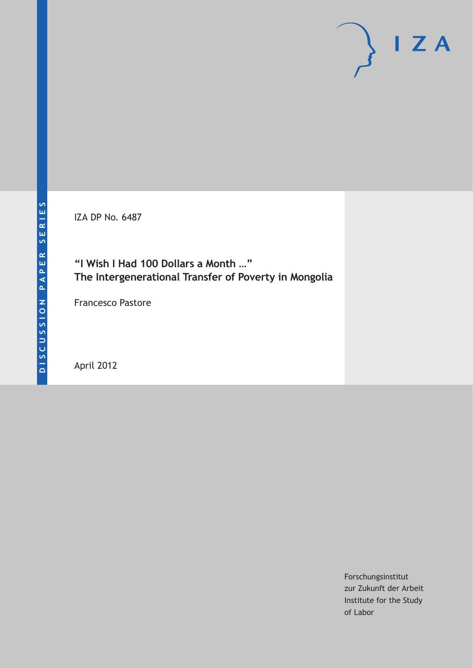IZA DP No. 6487

## **"I Wish I Had 100 Dollars a Month …" The Intergenerational Transfer of Poverty in Mongolia**

Francesco Pastore

April 2012

Forschungsinstitut zur Zukunft der Arbeit Institute for the Study of Labor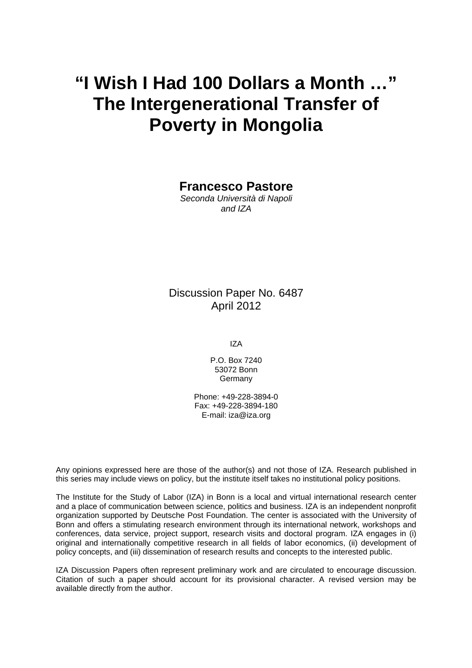# **"I Wish I Had 100 Dollars a Month …" The Intergenerational Transfer of Poverty in Mongolia**

**Francesco Pastore** 

*Seconda Università di Napoli and IZA* 

Discussion Paper No. 6487 April 2012

IZA

P.O. Box 7240 53072 Bonn Germany

Phone: +49-228-3894-0 Fax: +49-228-3894-180 E-mail: [iza@iza.org](mailto:iza@iza.org)

Any opinions expressed here are those of the author(s) and not those of IZA. Research published in this series may include views on policy, but the institute itself takes no institutional policy positions.

The Institute for the Study of Labor (IZA) in Bonn is a local and virtual international research center and a place of communication between science, politics and business. IZA is an independent nonprofit organization supported by Deutsche Post Foundation. The center is associated with the University of Bonn and offers a stimulating research environment through its international network, workshops and conferences, data service, project support, research visits and doctoral program. IZA engages in (i) original and internationally competitive research in all fields of labor economics, (ii) development of policy concepts, and (iii) dissemination of research results and concepts to the interested public.

IZA Discussion Papers often represent preliminary work and are circulated to encourage discussion. Citation of such a paper should account for its provisional character. A revised version may be available directly from the author.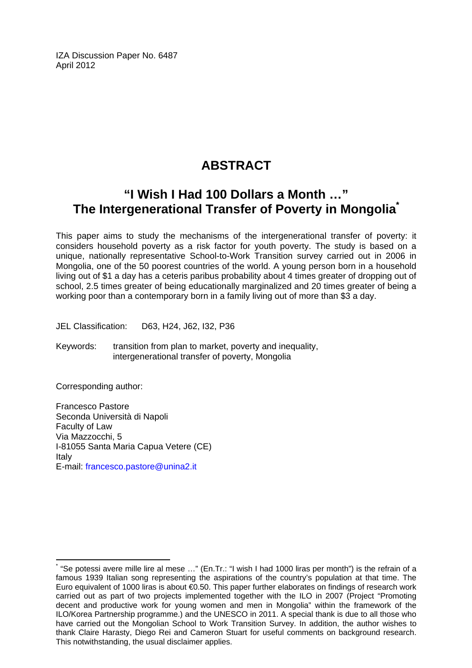IZA Discussion Paper No. 6487 April 2012

## **ABSTRACT**

## **"I Wish I Had 100 Dollars a Month …" The Intergenerational Transfer of Poverty in Mongolia[\\*](#page-2-0)**

This paper aims to study the mechanisms of the intergenerational transfer of poverty: it considers household poverty as a risk factor for youth poverty. The study is based on a unique, nationally representative School-to-Work Transition survey carried out in 2006 in Mongolia, one of the 50 poorest countries of the world. A young person born in a household living out of \$1 a day has a ceteris paribus probability about 4 times greater of dropping out of school, 2.5 times greater of being educationally marginalized and 20 times greater of being a working poor than a contemporary born in a family living out of more than \$3 a day.

JEL Classification: D63, H24, J62, I32, P36

Keywords: transition from plan to market, poverty and inequality, intergenerational transfer of poverty, Mongolia

Corresponding author:

 $\overline{a}$ 

Francesco Pastore Seconda Università di Napoli Faculty of Law Via Mazzocchi, 5 I-81055 Santa Maria Capua Vetere (CE) Italy E-mail: [francesco.pastore@unina2.it](mailto:francesco.pastore@unina2.it) 

<span id="page-2-0"></span><sup>\*</sup> "Se potessi avere mille lire al mese …" (En.Tr.: "I wish I had 1000 liras per month") is the refrain of a famous 1939 Italian song representing the aspirations of the country's population at that time. The Euro equivalent of 1000 liras is about €0.50. This paper further elaborates on findings of research work carried out as part of two projects implemented together with the ILO in 2007 (Project "Promoting decent and productive work for young women and men in Mongolia" within the framework of the ILO/Korea Partnership programme.) and the UNESCO in 2011. A special thank is due to all those who have carried out the Mongolian School to Work Transition Survey. In addition, the author wishes to thank Claire Harasty, Diego Rei and Cameron Stuart for useful comments on background research. This notwithstanding, the usual disclaimer applies.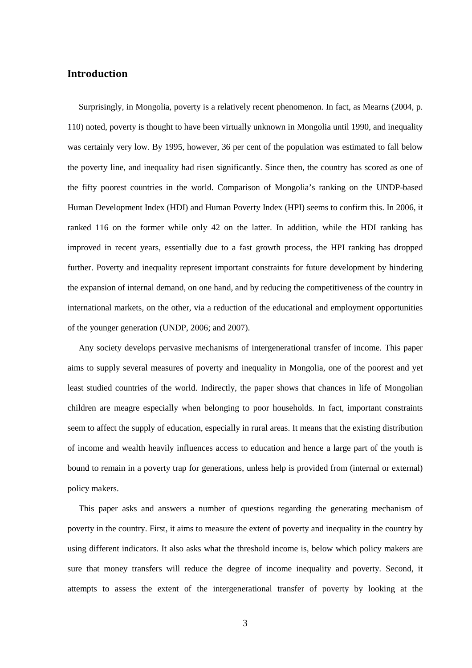## **Introduction**

Surprisingly, in Mongolia, poverty is a relatively recent phenomenon. In fact, as Mearns (2004, p. 110) noted, poverty is thought to have been virtually unknown in Mongolia until 1990, and inequality was certainly very low. By 1995, however, 36 per cent of the population was estimated to fall below the poverty line, and inequality had risen significantly. Since then, the country has scored as one of the fifty poorest countries in the world. Comparison of Mongolia's ranking on the UNDP-based Human Development Index (HDI) and Human Poverty Index (HPI) seems to confirm this. In 2006, it ranked 116 on the former while only 42 on the latter. In addition, while the HDI ranking has improved in recent years, essentially due to a fast growth process, the HPI ranking has dropped further. Poverty and inequality represent important constraints for future development by hindering the expansion of internal demand, on one hand, and by reducing the competitiveness of the country in international markets, on the other, via a reduction of the educational and employment opportunities of the younger generation (UNDP, 2006; and 2007).

Any society develops pervasive mechanisms of intergenerational transfer of income. This paper aims to supply several measures of poverty and inequality in Mongolia, one of the poorest and yet least studied countries of the world. Indirectly, the paper shows that chances in life of Mongolian children are meagre especially when belonging to poor households. In fact, important constraints seem to affect the supply of education, especially in rural areas. It means that the existing distribution of income and wealth heavily influences access to education and hence a large part of the youth is bound to remain in a poverty trap for generations, unless help is provided from (internal or external) policy makers.

This paper asks and answers a number of questions regarding the generating mechanism of poverty in the country. First, it aims to measure the extent of poverty and inequality in the country by using different indicators. It also asks what the threshold income is, below which policy makers are sure that money transfers will reduce the degree of income inequality and poverty. Second, it attempts to assess the extent of the intergenerational transfer of poverty by looking at the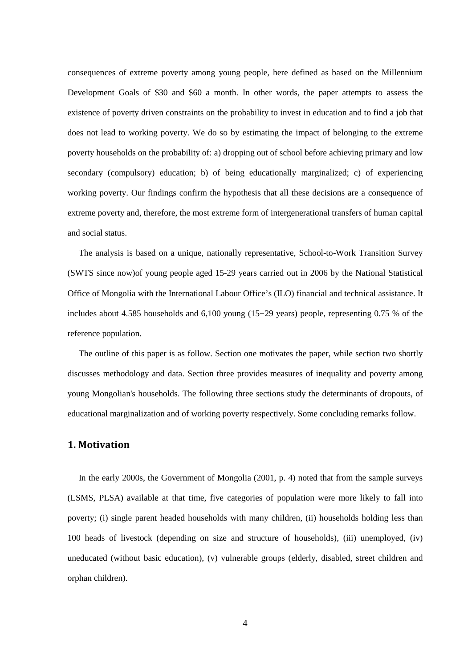consequences of extreme poverty among young people, here defined as based on the Millennium Development Goals of \$30 and \$60 a month. In other words, the paper attempts to assess the existence of poverty driven constraints on the probability to invest in education and to find a job that does not lead to working poverty. We do so by estimating the impact of belonging to the extreme poverty households on the probability of: a) dropping out of school before achieving primary and low secondary (compulsory) education; b) of being educationally marginalized; c) of experiencing working poverty. Our findings confirm the hypothesis that all these decisions are a consequence of extreme poverty and, therefore, the most extreme form of intergenerational transfers of human capital and social status.

The analysis is based on a unique, nationally representative, School-to-Work Transition Survey (SWTS since now)of young people aged 15-29 years carried out in 2006 by the National Statistical Office of Mongolia with the International Labour Office's (ILO) financial and technical assistance. It includes about 4.585 households and 6,100 young (15−29 years) people, representing 0.75 % of the reference population.

The outline of this paper is as follow. Section one motivates the paper, while section two shortly discusses methodology and data. Section three provides measures of inequality and poverty among young Mongolian's households. The following three sections study the determinants of dropouts, of educational marginalization and of working poverty respectively. Some concluding remarks follow.

#### **1. Motivation**

In the early 2000s, the Government of Mongolia (2001, p. 4) noted that from the sample surveys (LSMS, PLSA) available at that time, five categories of population were more likely to fall into poverty; (i) single parent headed households with many children, (ii) households holding less than 100 heads of livestock (depending on size and structure of households), (iii) unemployed, (iv) uneducated (without basic education), (v) vulnerable groups (elderly, disabled, street children and orphan children).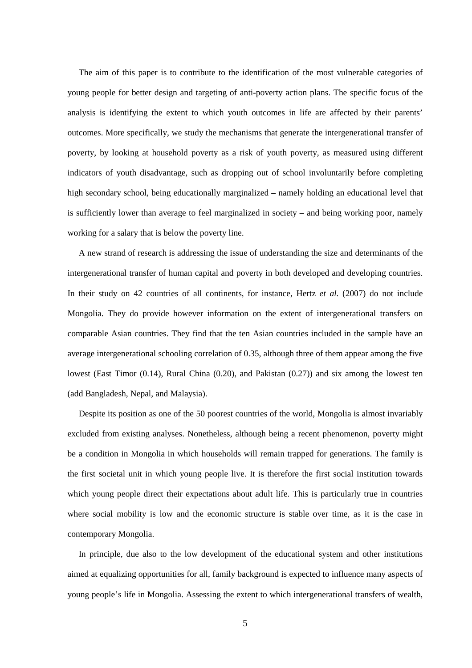The aim of this paper is to contribute to the identification of the most vulnerable categories of young people for better design and targeting of anti-poverty action plans. The specific focus of the analysis is identifying the extent to which youth outcomes in life are affected by their parents' outcomes. More specifically, we study the mechanisms that generate the intergenerational transfer of poverty, by looking at household poverty as a risk of youth poverty, as measured using different indicators of youth disadvantage, such as dropping out of school involuntarily before completing high secondary school, being educationally marginalized – namely holding an educational level that is sufficiently lower than average to feel marginalized in society – and being working poor, namely working for a salary that is below the poverty line.

A new strand of research is addressing the issue of understanding the size and determinants of the intergenerational transfer of human capital and poverty in both developed and developing countries. In their study on 42 countries of all continents, for instance, Hertz *et al.* (2007) do not include Mongolia. They do provide however information on the extent of intergenerational transfers on comparable Asian countries. They find that the ten Asian countries included in the sample have an average intergenerational schooling correlation of 0.35, although three of them appear among the five lowest (East Timor (0.14), Rural China (0.20), and Pakistan (0.27)) and six among the lowest ten (add Bangladesh, Nepal, and Malaysia).

Despite its position as one of the 50 poorest countries of the world, Mongolia is almost invariably excluded from existing analyses. Nonetheless, although being a recent phenomenon, poverty might be a condition in Mongolia in which households will remain trapped for generations. The family is the first societal unit in which young people live. It is therefore the first social institution towards which young people direct their expectations about adult life. This is particularly true in countries where social mobility is low and the economic structure is stable over time, as it is the case in contemporary Mongolia.

In principle, due also to the low development of the educational system and other institutions aimed at equalizing opportunities for all, family background is expected to influence many aspects of young people's life in Mongolia. Assessing the extent to which intergenerational transfers of wealth,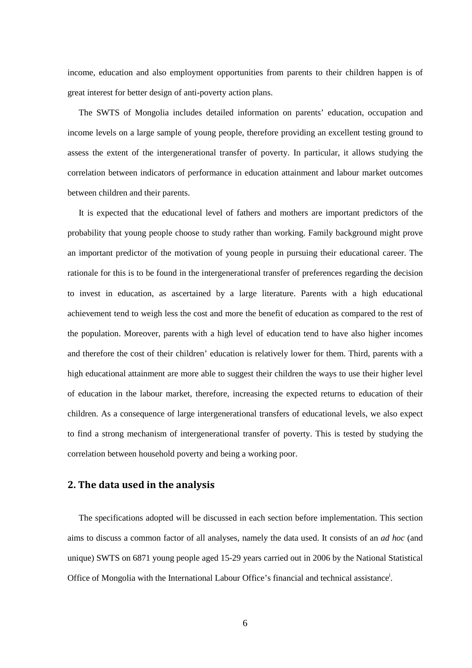income, education and also employment opportunities from parents to their children happen is of great interest for better design of anti-poverty action plans.

The SWTS of Mongolia includes detailed information on parents' education, occupation and income levels on a large sample of young people, therefore providing an excellent testing ground to assess the extent of the intergenerational transfer of poverty. In particular, it allows studying the correlation between indicators of performance in education attainment and labour market outcomes between children and their parents.

It is expected that the educational level of fathers and mothers are important predictors of the probability that young people choose to study rather than working. Family background might prove an important predictor of the motivation of young people in pursuing their educational career. The rationale for this is to be found in the intergenerational transfer of preferences regarding the decision to invest in education, as ascertained by a large literature. Parents with a high educational achievement tend to weigh less the cost and more the benefit of education as compared to the rest of the population. Moreover, parents with a high level of education tend to have also higher incomes and therefore the cost of their children' education is relatively lower for them. Third, parents with a high educational attainment are more able to suggest their children the ways to use their higher level of education in the labour market, therefore, increasing the expected returns to education of their children. As a consequence of large intergenerational transfers of educational levels, we also expect to find a strong mechanism of intergenerational transfer of poverty. This is tested by studying the correlation between household poverty and being a working poor.

### **2. The data used in the analysis**

The specifications adopted will be discussed in each section before implementation. This section aims to discuss a common factor of all analyses, namely the data used. It consists of an *ad hoc* (and unique) SWTS on 6871 young people aged 15-29 years carried out in 2006 by the National Statistical Office of Mongolia with the International Labour Office's financial and technical assistance<sup>i</sup>.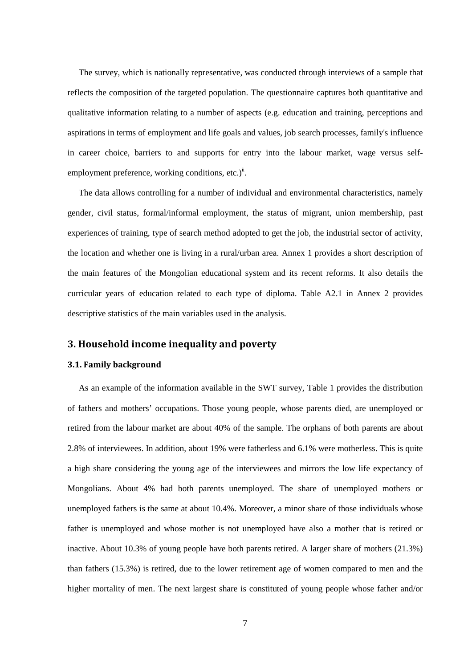The survey, which is nationally representative, was conducted through interviews of a sample that reflects the composition of the targeted population. The questionnaire captures both quantitative and qualitative information relating to a number of aspects (e.g. education and training, perceptions and aspirations in terms of employment and life goals and values, job search processes, family's influence in career choice, barriers to and supports for entry into the labour market, wage versus selfemployment preference, working conditions, etc.)<sup>ii</sup>.

The data allows controlling for a number of individual and environmental characteristics, namely gender, civil status, formal/informal employment, the status of migrant, union membership, past experiences of training, type of search method adopted to get the job, the industrial sector of activity, the location and whether one is living in a rural/urban area. Annex 1 provides a short description of the main features of the Mongolian educational system and its recent reforms. It also details the curricular years of education related to each type of diploma. Table A2.1 in Annex 2 provides descriptive statistics of the main variables used in the analysis.

## **3. Household income inequality and poverty**

#### **3.1. Family background**

As an example of the information available in the SWT survey, Table 1 provides the distribution of fathers and mothers' occupations. Those young people, whose parents died, are unemployed or retired from the labour market are about 40% of the sample. The orphans of both parents are about 2.8% of interviewees. In addition, about 19% were fatherless and 6.1% were motherless. This is quite a high share considering the young age of the interviewees and mirrors the low life expectancy of Mongolians. About 4% had both parents unemployed. The share of unemployed mothers or unemployed fathers is the same at about 10.4%. Moreover, a minor share of those individuals whose father is unemployed and whose mother is not unemployed have also a mother that is retired or inactive. About 10.3% of young people have both parents retired. A larger share of mothers (21.3%) than fathers (15.3%) is retired, due to the lower retirement age of women compared to men and the higher mortality of men. The next largest share is constituted of young people whose father and/or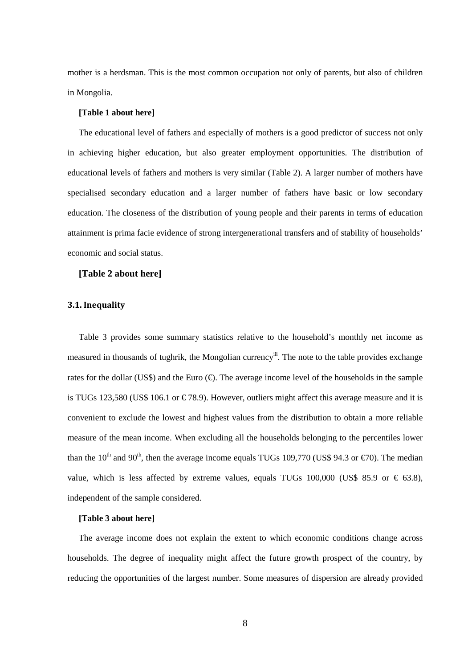mother is a herdsman. This is the most common occupation not only of parents, but also of children in Mongolia.

#### **[Table 1 about here]**

The educational level of fathers and especially of mothers is a good predictor of success not only in achieving higher education, but also greater employment opportunities. The distribution of educational levels of fathers and mothers is very similar (Table 2). A larger number of mothers have specialised secondary education and a larger number of fathers have basic or low secondary education. The closeness of the distribution of young people and their parents in terms of education attainment is prima facie evidence of strong intergenerational transfers and of stability of households' economic and social status.

#### **[Table 2 about here]**

#### **3.1. Inequality**

Table 3 provides some summary statistics relative to the household's monthly net income as measured in thousands of tughrik, the Mongolian currency<sup>iii</sup>. The note to the table provides exchange rates for the dollar (US\$) and the Euro  $(\epsilon)$ . The average income level of the households in the sample is TUGs 123,580 (US\$ 106.1 or  $\in$  78.9). However, outliers might affect this average measure and it is convenient to exclude the lowest and highest values from the distribution to obtain a more reliable measure of the mean income. When excluding all the households belonging to the percentiles lower than the 10<sup>th</sup> and 90<sup>th</sup>, then the average income equals TUGs 109,770 (US\$ 94.3 or  $\epsilon$ 70). The median value, which is less affected by extreme values, equals TUGs 100,000 (US\$ 85.9 or  $\epsilon$  63.8), independent of the sample considered.

#### **[Table 3 about here]**

The average income does not explain the extent to which economic conditions change across households. The degree of inequality might affect the future growth prospect of the country, by reducing the opportunities of the largest number. Some measures of dispersion are already provided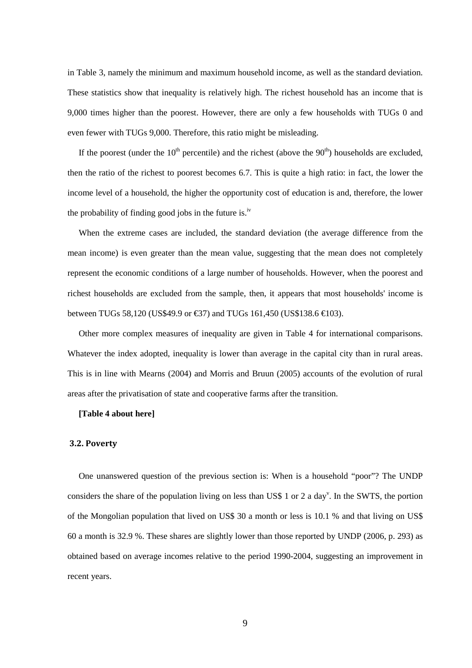in Table 3, namely the minimum and maximum household income, as well as the standard deviation. These statistics show that inequality is relatively high. The richest household has an income that is 9,000 times higher than the poorest. However, there are only a few households with TUGs 0 and even fewer with TUGs 9,000. Therefore, this ratio might be misleading.

If the poorest (under the  $10<sup>th</sup>$  percentile) and the richest (above the  $90<sup>th</sup>$ ) households are excluded, then the ratio of the richest to poorest becomes 6.7. This is quite a high ratio: in fact, the lower the income level of a household, the higher the opportunity cost of education is and, therefore, the lower the probability of finding good jobs in the future is.<sup>iv</sup>

When the extreme cases are included, the standard deviation (the average difference from the mean income) is even greater than the mean value, suggesting that the mean does not completely represent the economic conditions of a large number of households. However, when the poorest and richest households are excluded from the sample, then, it appears that most households' income is between TUGs 58,120 (US\$49.9 or  $\text{\textsterling}37$ ) and TUGs 161,450 (US\$138.6  $\text{\textsterling}103$ ).

Other more complex measures of inequality are given in Table 4 for international comparisons. Whatever the index adopted, inequality is lower than average in the capital city than in rural areas. This is in line with Mearns (2004) and Morris and Bruun (2005) accounts of the evolution of rural areas after the privatisation of state and cooperative farms after the transition.

#### **[Table 4 about here]**

#### **3.2. Poverty**

One unanswered question of the previous section is: When is a household "poor"? The UNDP considers the share of the population living on less than US\$ 1 or 2 a day<sup>v</sup>. In the SWTS, the portion of the Mongolian population that lived on US\$ 30 a month or less is 10.1 % and that living on US\$ 60 a month is 32.9 %. These shares are slightly lower than those reported by UNDP (2006, p. 293) as obtained based on average incomes relative to the period 1990-2004, suggesting an improvement in recent years.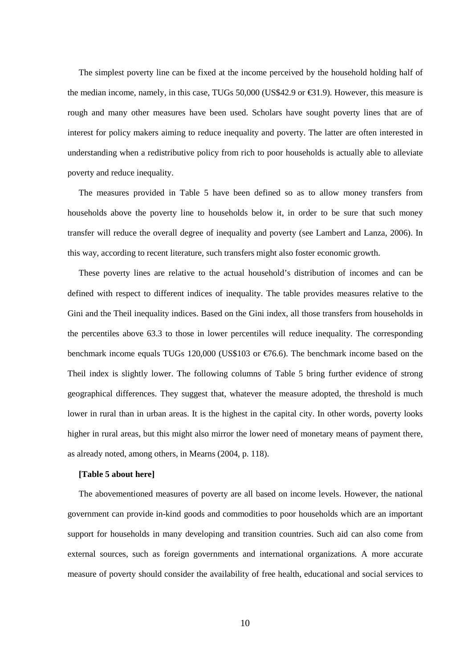The simplest poverty line can be fixed at the income perceived by the household holding half of the median income, namely, in this case, TUGs 50,000 (US\$42.9 or  $\epsilon$ 31.9). However, this measure is rough and many other measures have been used. Scholars have sought poverty lines that are of interest for policy makers aiming to reduce inequality and poverty. The latter are often interested in understanding when a redistributive policy from rich to poor households is actually able to alleviate poverty and reduce inequality.

The measures provided in Table 5 have been defined so as to allow money transfers from households above the poverty line to households below it, in order to be sure that such money transfer will reduce the overall degree of inequality and poverty (see Lambert and Lanza, 2006). In this way, according to recent literature, such transfers might also foster economic growth.

These poverty lines are relative to the actual household's distribution of incomes and can be defined with respect to different indices of inequality. The table provides measures relative to the Gini and the Theil inequality indices. Based on the Gini index, all those transfers from households in the percentiles above 63.3 to those in lower percentiles will reduce inequality. The corresponding benchmark income equals TUGs 120,000 (US\$103 or  $\epsilon$ 766). The benchmark income based on the Theil index is slightly lower. The following columns of Table 5 bring further evidence of strong geographical differences. They suggest that, whatever the measure adopted, the threshold is much lower in rural than in urban areas. It is the highest in the capital city. In other words, poverty looks higher in rural areas, but this might also mirror the lower need of monetary means of payment there, as already noted, among others, in Mearns (2004, p. 118).

#### **[Table 5 about here]**

The abovementioned measures of poverty are all based on income levels. However, the national government can provide in-kind goods and commodities to poor households which are an important support for households in many developing and transition countries. Such aid can also come from external sources, such as foreign governments and international organizations. A more accurate measure of poverty should consider the availability of free health, educational and social services to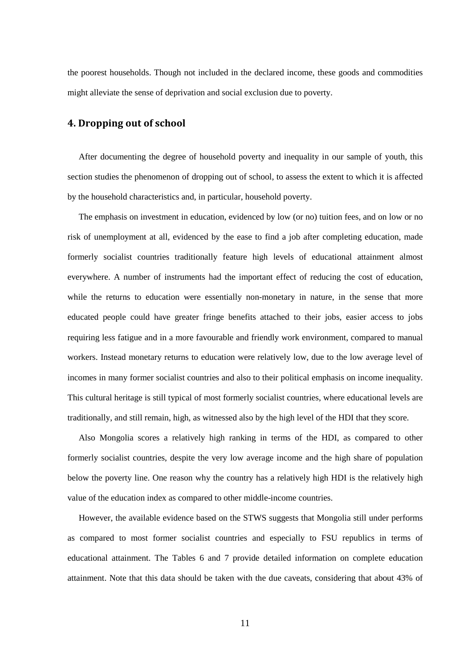the poorest households. Though not included in the declared income, these goods and commodities might alleviate the sense of deprivation and social exclusion due to poverty.

## **4. Dropping out of school**

After documenting the degree of household poverty and inequality in our sample of youth, this section studies the phenomenon of dropping out of school, to assess the extent to which it is affected by the household characteristics and, in particular, household poverty.

The emphasis on investment in education, evidenced by low (or no) tuition fees, and on low or no risk of unemployment at all, evidenced by the ease to find a job after completing education, made formerly socialist countries traditionally feature high levels of educational attainment almost everywhere. A number of instruments had the important effect of reducing the cost of education, while the returns to education were essentially non-monetary in nature, in the sense that more educated people could have greater fringe benefits attached to their jobs, easier access to jobs requiring less fatigue and in a more favourable and friendly work environment, compared to manual workers. Instead monetary returns to education were relatively low, due to the low average level of incomes in many former socialist countries and also to their political emphasis on income inequality. This cultural heritage is still typical of most formerly socialist countries, where educational levels are traditionally, and still remain, high, as witnessed also by the high level of the HDI that they score.

Also Mongolia scores a relatively high ranking in terms of the HDI, as compared to other formerly socialist countries, despite the very low average income and the high share of population below the poverty line. One reason why the country has a relatively high HDI is the relatively high value of the education index as compared to other middle-income countries.

However, the available evidence based on the STWS suggests that Mongolia still under performs as compared to most former socialist countries and especially to FSU republics in terms of educational attainment. The Tables 6 and 7 provide detailed information on complete education attainment. Note that this data should be taken with the due caveats, considering that about 43% of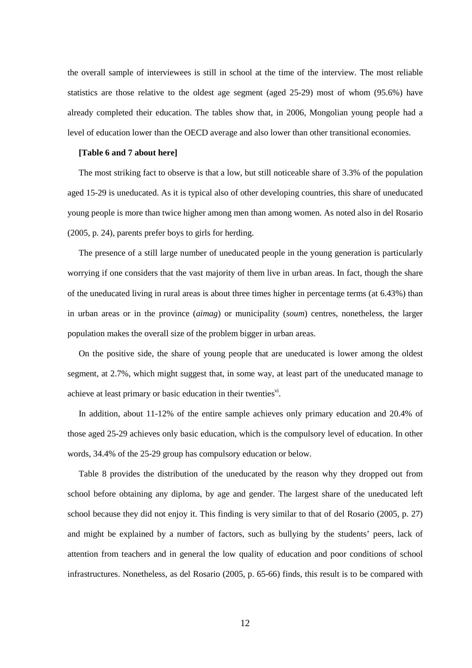the overall sample of interviewees is still in school at the time of the interview. The most reliable statistics are those relative to the oldest age segment (aged 25-29) most of whom (95.6%) have already completed their education. The tables show that, in 2006, Mongolian young people had a level of education lower than the OECD average and also lower than other transitional economies.

#### **[Table 6 and 7 about here]**

The most striking fact to observe is that a low, but still noticeable share of 3.3% of the population aged 15-29 is uneducated. As it is typical also of other developing countries, this share of uneducated young people is more than twice higher among men than among women. As noted also in del Rosario (2005, p. 24), parents prefer boys to girls for herding.

The presence of a still large number of uneducated people in the young generation is particularly worrying if one considers that the vast majority of them live in urban areas. In fact, though the share of the uneducated living in rural areas is about three times higher in percentage terms (at 6.43%) than in urban areas or in the province (*aimag*) or municipality (*soum*) centres, nonetheless, the larger population makes the overall size of the problem bigger in urban areas.

On the positive side, the share of young people that are uneducated is lower among the oldest segment, at 2.7%, which might suggest that, in some way, at least part of the uneducated manage to achieve at least primary or basic education in their twenties<sup>vi</sup>.

In addition, about 11-12% of the entire sample achieves only primary education and 20.4% of those aged 25-29 achieves only basic education, which is the compulsory level of education. In other words, 34.4% of the 25-29 group has compulsory education or below.

Table 8 provides the distribution of the uneducated by the reason why they dropped out from school before obtaining any diploma, by age and gender. The largest share of the uneducated left school because they did not enjoy it. This finding is very similar to that of del Rosario (2005, p. 27) and might be explained by a number of factors, such as bullying by the students' peers, lack of attention from teachers and in general the low quality of education and poor conditions of school infrastructures. Nonetheless, as del Rosario (2005, p. 65-66) finds, this result is to be compared with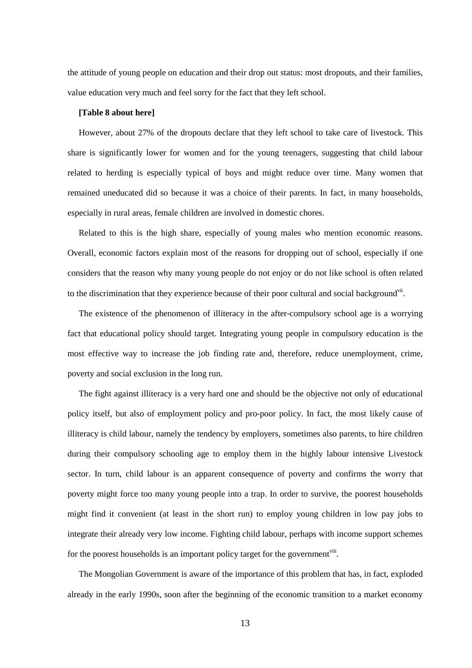the attitude of young people on education and their drop out status: most dropouts, and their families, value education very much and feel sorry for the fact that they left school.

#### **[Table 8 about here]**

However, about 27% of the dropouts declare that they left school to take care of livestock. This share is significantly lower for women and for the young teenagers, suggesting that child labour related to herding is especially typical of boys and might reduce over time. Many women that remained uneducated did so because it was a choice of their parents. In fact, in many households, especially in rural areas, female children are involved in domestic chores.

Related to this is the high share, especially of young males who mention economic reasons. Overall, economic factors explain most of the reasons for dropping out of school, especially if one considers that the reason why many young people do not enjoy or do not like school is often related to the discrimination that they experience because of their poor cultural and social background<sup>vii</sup>.

The existence of the phenomenon of illiteracy in the after-compulsory school age is a worrying fact that educational policy should target. Integrating young people in compulsory education is the most effective way to increase the job finding rate and, therefore, reduce unemployment, crime, poverty and social exclusion in the long run.

The fight against illiteracy is a very hard one and should be the objective not only of educational policy itself, but also of employment policy and pro-poor policy. In fact, the most likely cause of illiteracy is child labour, namely the tendency by employers, sometimes also parents, to hire children during their compulsory schooling age to employ them in the highly labour intensive Livestock sector. In turn, child labour is an apparent consequence of poverty and confirms the worry that poverty might force too many young people into a trap. In order to survive, the poorest households might find it convenient (at least in the short run) to employ young children in low pay jobs to integrate their already very low income. Fighting child labour, perhaps with income support schemes for the poorest households is an important policy target for the government $v^{\text{iii}}$ .

The Mongolian Government is aware of the importance of this problem that has, in fact, exploded already in the early 1990s, soon after the beginning of the economic transition to a market economy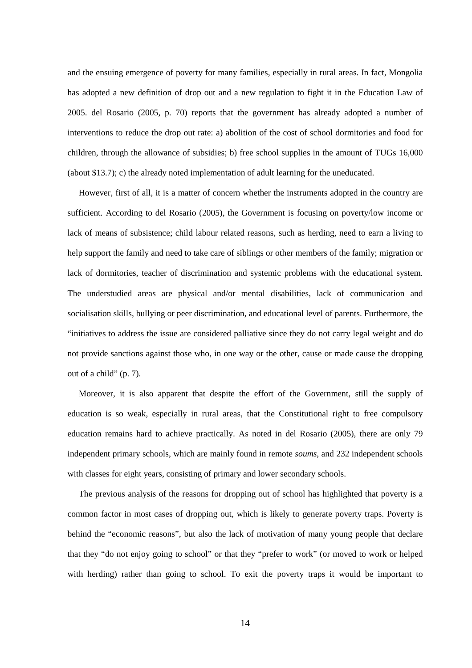and the ensuing emergence of poverty for many families, especially in rural areas. In fact, Mongolia has adopted a new definition of drop out and a new regulation to fight it in the Education Law of 2005. del Rosario (2005, p. 70) reports that the government has already adopted a number of interventions to reduce the drop out rate: a) abolition of the cost of school dormitories and food for children, through the allowance of subsidies; b) free school supplies in the amount of TUGs 16,000 (about \$13.7); c) the already noted implementation of adult learning for the uneducated.

However, first of all, it is a matter of concern whether the instruments adopted in the country are sufficient. According to del Rosario (2005), the Government is focusing on poverty/low income or lack of means of subsistence; child labour related reasons, such as herding, need to earn a living to help support the family and need to take care of siblings or other members of the family; migration or lack of dormitories, teacher of discrimination and systemic problems with the educational system. The understudied areas are physical and/or mental disabilities, lack of communication and socialisation skills, bullying or peer discrimination, and educational level of parents. Furthermore, the "initiatives to address the issue are considered palliative since they do not carry legal weight and do not provide sanctions against those who, in one way or the other, cause or made cause the dropping out of a child" (p. 7).

Moreover, it is also apparent that despite the effort of the Government, still the supply of education is so weak, especially in rural areas, that the Constitutional right to free compulsory education remains hard to achieve practically. As noted in del Rosario (2005), there are only 79 independent primary schools, which are mainly found in remote *soums*, and 232 independent schools with classes for eight years, consisting of primary and lower secondary schools.

The previous analysis of the reasons for dropping out of school has highlighted that poverty is a common factor in most cases of dropping out, which is likely to generate poverty traps. Poverty is behind the "economic reasons", but also the lack of motivation of many young people that declare that they "do not enjoy going to school" or that they "prefer to work" (or moved to work or helped with herding) rather than going to school. To exit the poverty traps it would be important to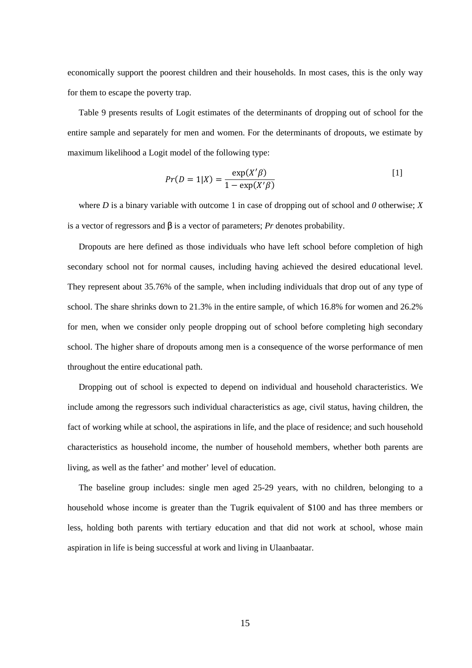economically support the poorest children and their households. In most cases, this is the only way for them to escape the poverty trap.

Table 9 presents results of Logit estimates of the determinants of dropping out of school for the entire sample and separately for men and women. For the determinants of dropouts, we estimate by maximum likelihood a Logit model of the following type:

$$
Pr(D = 1|X) = \frac{\exp(X'\beta)}{1 - \exp(X'\beta)}
$$
 [1]

where *D* is a binary variable with outcome 1 in case of dropping out of school and *0* otherwise; *X* is a vector of regressors and β is a vector of parameters; *Pr* denotes probability.

Dropouts are here defined as those individuals who have left school before completion of high secondary school not for normal causes, including having achieved the desired educational level. They represent about 35.76% of the sample, when including individuals that drop out of any type of school. The share shrinks down to 21.3% in the entire sample, of which 16.8% for women and 26.2% for men, when we consider only people dropping out of school before completing high secondary school. The higher share of dropouts among men is a consequence of the worse performance of men throughout the entire educational path.

Dropping out of school is expected to depend on individual and household characteristics. We include among the regressors such individual characteristics as age, civil status, having children, the fact of working while at school, the aspirations in life, and the place of residence; and such household characteristics as household income, the number of household members, whether both parents are living, as well as the father' and mother' level of education.

The baseline group includes: single men aged 25-29 years, with no children, belonging to a household whose income is greater than the Tugrik equivalent of \$100 and has three members or less, holding both parents with tertiary education and that did not work at school, whose main aspiration in life is being successful at work and living in Ulaanbaatar.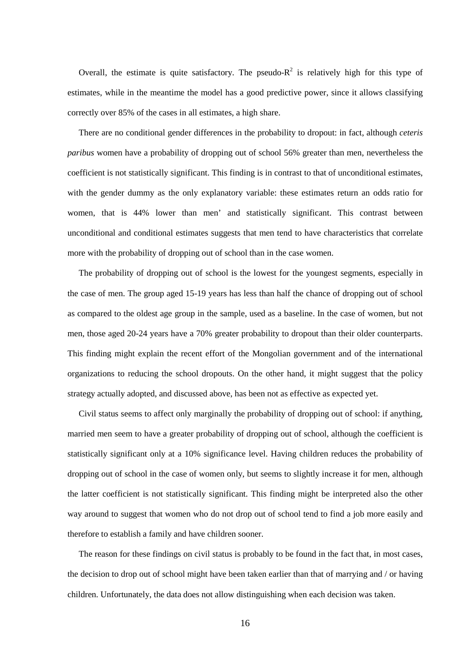Overall, the estimate is quite satisfactory. The pseudo- $R^2$  is relatively high for this type of estimates, while in the meantime the model has a good predictive power, since it allows classifying correctly over 85% of the cases in all estimates, a high share.

There are no conditional gender differences in the probability to dropout: in fact, although *ceteris paribus* women have a probability of dropping out of school 56% greater than men, nevertheless the coefficient is not statistically significant. This finding is in contrast to that of unconditional estimates, with the gender dummy as the only explanatory variable: these estimates return an odds ratio for women, that is 44% lower than men' and statistically significant. This contrast between unconditional and conditional estimates suggests that men tend to have characteristics that correlate more with the probability of dropping out of school than in the case women.

The probability of dropping out of school is the lowest for the youngest segments, especially in the case of men. The group aged 15-19 years has less than half the chance of dropping out of school as compared to the oldest age group in the sample, used as a baseline. In the case of women, but not men, those aged 20-24 years have a 70% greater probability to dropout than their older counterparts. This finding might explain the recent effort of the Mongolian government and of the international organizations to reducing the school dropouts. On the other hand, it might suggest that the policy strategy actually adopted, and discussed above, has been not as effective as expected yet.

Civil status seems to affect only marginally the probability of dropping out of school: if anything, married men seem to have a greater probability of dropping out of school, although the coefficient is statistically significant only at a 10% significance level. Having children reduces the probability of dropping out of school in the case of women only, but seems to slightly increase it for men, although the latter coefficient is not statistically significant. This finding might be interpreted also the other way around to suggest that women who do not drop out of school tend to find a job more easily and therefore to establish a family and have children sooner.

The reason for these findings on civil status is probably to be found in the fact that, in most cases, the decision to drop out of school might have been taken earlier than that of marrying and / or having children. Unfortunately, the data does not allow distinguishing when each decision was taken.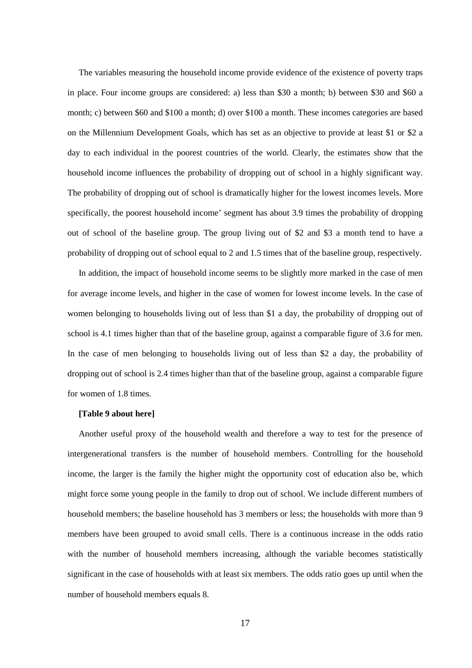The variables measuring the household income provide evidence of the existence of poverty traps in place. Four income groups are considered: a) less than \$30 a month; b) between \$30 and \$60 a month; c) between \$60 and \$100 a month; d) over \$100 a month. These incomes categories are based on the Millennium Development Goals, which has set as an objective to provide at least \$1 or \$2 a day to each individual in the poorest countries of the world. Clearly, the estimates show that the household income influences the probability of dropping out of school in a highly significant way. The probability of dropping out of school is dramatically higher for the lowest incomes levels. More specifically, the poorest household income' segment has about 3.9 times the probability of dropping out of school of the baseline group. The group living out of \$2 and \$3 a month tend to have a probability of dropping out of school equal to 2 and 1.5 times that of the baseline group, respectively.

In addition, the impact of household income seems to be slightly more marked in the case of men for average income levels, and higher in the case of women for lowest income levels. In the case of women belonging to households living out of less than \$1 a day, the probability of dropping out of school is 4.1 times higher than that of the baseline group, against a comparable figure of 3.6 for men. In the case of men belonging to households living out of less than \$2 a day, the probability of dropping out of school is 2.4 times higher than that of the baseline group, against a comparable figure for women of 1.8 times.

#### **[Table 9 about here]**

Another useful proxy of the household wealth and therefore a way to test for the presence of intergenerational transfers is the number of household members. Controlling for the household income, the larger is the family the higher might the opportunity cost of education also be, which might force some young people in the family to drop out of school. We include different numbers of household members; the baseline household has 3 members or less; the households with more than 9 members have been grouped to avoid small cells. There is a continuous increase in the odds ratio with the number of household members increasing, although the variable becomes statistically significant in the case of households with at least six members. The odds ratio goes up until when the number of household members equals 8.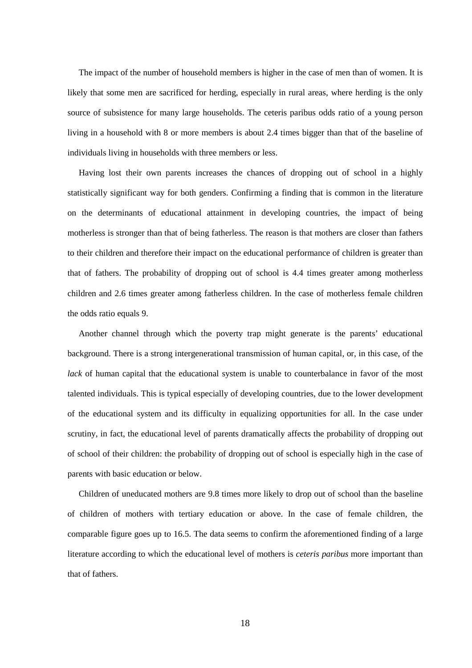The impact of the number of household members is higher in the case of men than of women. It is likely that some men are sacrificed for herding, especially in rural areas, where herding is the only source of subsistence for many large households. The ceteris paribus odds ratio of a young person living in a household with 8 or more members is about 2.4 times bigger than that of the baseline of individuals living in households with three members or less.

Having lost their own parents increases the chances of dropping out of school in a highly statistically significant way for both genders. Confirming a finding that is common in the literature on the determinants of educational attainment in developing countries, the impact of being motherless is stronger than that of being fatherless. The reason is that mothers are closer than fathers to their children and therefore their impact on the educational performance of children is greater than that of fathers. The probability of dropping out of school is 4.4 times greater among motherless children and 2.6 times greater among fatherless children. In the case of motherless female children the odds ratio equals 9.

Another channel through which the poverty trap might generate is the parents' educational background. There is a strong intergenerational transmission of human capital, or, in this case, of the *lack* of human capital that the educational system is unable to counterbalance in favor of the most talented individuals. This is typical especially of developing countries, due to the lower development of the educational system and its difficulty in equalizing opportunities for all. In the case under scrutiny, in fact, the educational level of parents dramatically affects the probability of dropping out of school of their children: the probability of dropping out of school is especially high in the case of parents with basic education or below.

Children of uneducated mothers are 9.8 times more likely to drop out of school than the baseline of children of mothers with tertiary education or above. In the case of female children, the comparable figure goes up to 16.5. The data seems to confirm the aforementioned finding of a large literature according to which the educational level of mothers is *ceteris paribus* more important than that of fathers.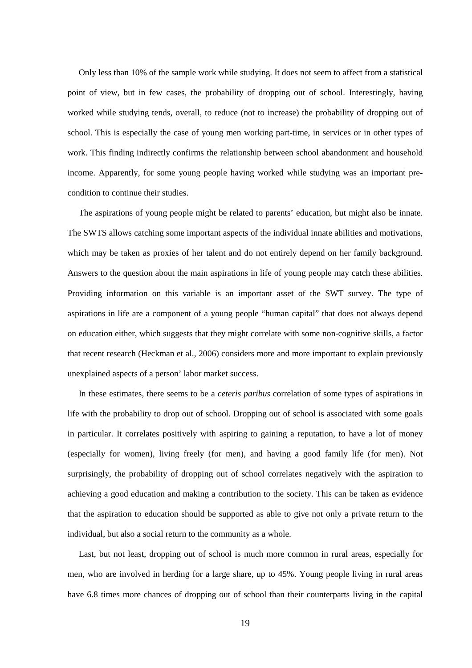Only less than 10% of the sample work while studying. It does not seem to affect from a statistical point of view, but in few cases, the probability of dropping out of school. Interestingly, having worked while studying tends, overall, to reduce (not to increase) the probability of dropping out of school. This is especially the case of young men working part-time, in services or in other types of work. This finding indirectly confirms the relationship between school abandonment and household income. Apparently, for some young people having worked while studying was an important precondition to continue their studies.

The aspirations of young people might be related to parents' education, but might also be innate. The SWTS allows catching some important aspects of the individual innate abilities and motivations, which may be taken as proxies of her talent and do not entirely depend on her family background. Answers to the question about the main aspirations in life of young people may catch these abilities. Providing information on this variable is an important asset of the SWT survey. The type of aspirations in life are a component of a young people "human capital" that does not always depend on education either, which suggests that they might correlate with some non-cognitive skills, a factor that recent research (Heckman et al., 2006) considers more and more important to explain previously unexplained aspects of a person' labor market success.

In these estimates, there seems to be a *ceteris paribus* correlation of some types of aspirations in life with the probability to drop out of school. Dropping out of school is associated with some goals in particular. It correlates positively with aspiring to gaining a reputation, to have a lot of money (especially for women), living freely (for men), and having a good family life (for men). Not surprisingly, the probability of dropping out of school correlates negatively with the aspiration to achieving a good education and making a contribution to the society. This can be taken as evidence that the aspiration to education should be supported as able to give not only a private return to the individual, but also a social return to the community as a whole.

Last, but not least, dropping out of school is much more common in rural areas, especially for men, who are involved in herding for a large share, up to 45%. Young people living in rural areas have 6.8 times more chances of dropping out of school than their counterparts living in the capital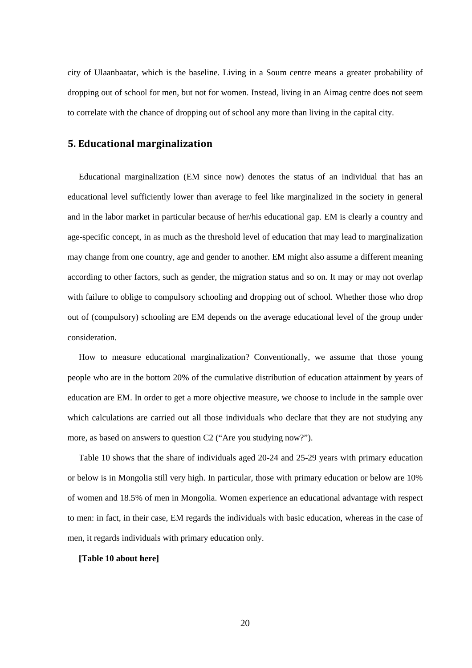city of Ulaanbaatar, which is the baseline. Living in a Soum centre means a greater probability of dropping out of school for men, but not for women. Instead, living in an Aimag centre does not seem to correlate with the chance of dropping out of school any more than living in the capital city.

## **5. Educational marginalization**

Educational marginalization (EM since now) denotes the status of an individual that has an educational level sufficiently lower than average to feel like marginalized in the society in general and in the labor market in particular because of her/his educational gap. EM is clearly a country and age-specific concept, in as much as the threshold level of education that may lead to marginalization may change from one country, age and gender to another. EM might also assume a different meaning according to other factors, such as gender, the migration status and so on. It may or may not overlap with failure to oblige to compulsory schooling and dropping out of school. Whether those who drop out of (compulsory) schooling are EM depends on the average educational level of the group under consideration.

How to measure educational marginalization? Conventionally, we assume that those young people who are in the bottom 20% of the cumulative distribution of education attainment by years of education are EM. In order to get a more objective measure, we choose to include in the sample over which calculations are carried out all those individuals who declare that they are not studying any more, as based on answers to question C2 ("Are you studying now?").

Table 10 shows that the share of individuals aged 20-24 and 25-29 years with primary education or below is in Mongolia still very high. In particular, those with primary education or below are 10% of women and 18.5% of men in Mongolia. Women experience an educational advantage with respect to men: in fact, in their case, EM regards the individuals with basic education, whereas in the case of men, it regards individuals with primary education only.

#### **[Table 10 about here]**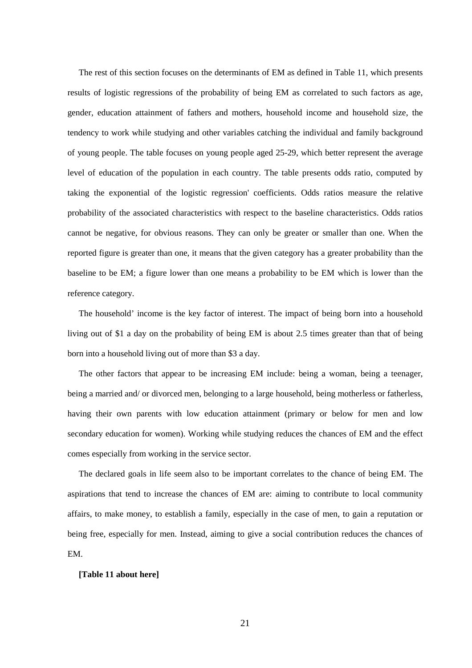The rest of this section focuses on the determinants of EM as defined in Table 11, which presents results of logistic regressions of the probability of being EM as correlated to such factors as age, gender, education attainment of fathers and mothers, household income and household size, the tendency to work while studying and other variables catching the individual and family background of young people. The table focuses on young people aged 25-29, which better represent the average level of education of the population in each country. The table presents odds ratio, computed by taking the exponential of the logistic regression' coefficients. Odds ratios measure the relative probability of the associated characteristics with respect to the baseline characteristics. Odds ratios cannot be negative, for obvious reasons. They can only be greater or smaller than one. When the reported figure is greater than one, it means that the given category has a greater probability than the baseline to be EM; a figure lower than one means a probability to be EM which is lower than the reference category.

The household' income is the key factor of interest. The impact of being born into a household living out of \$1 a day on the probability of being EM is about 2.5 times greater than that of being born into a household living out of more than \$3 a day.

The other factors that appear to be increasing EM include: being a woman, being a teenager, being a married and/ or divorced men, belonging to a large household, being motherless or fatherless, having their own parents with low education attainment (primary or below for men and low secondary education for women). Working while studying reduces the chances of EM and the effect comes especially from working in the service sector.

The declared goals in life seem also to be important correlates to the chance of being EM. The aspirations that tend to increase the chances of EM are: aiming to contribute to local community affairs, to make money, to establish a family, especially in the case of men, to gain a reputation or being free, especially for men. Instead, aiming to give a social contribution reduces the chances of EM.

#### **[Table 11 about here]**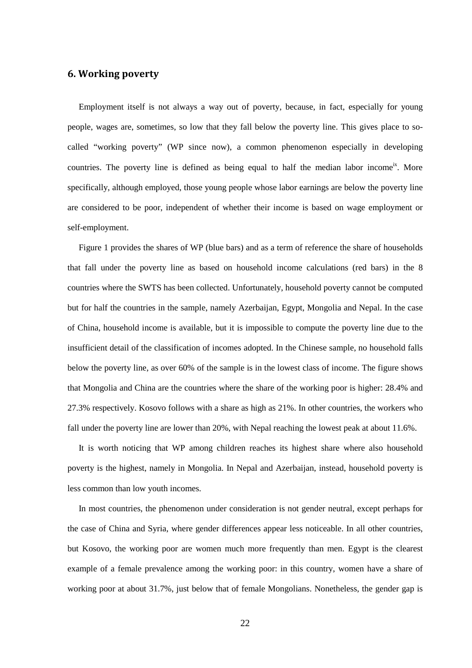## **6. Working poverty**

Employment itself is not always a way out of poverty, because, in fact, especially for young people, wages are, sometimes, so low that they fall below the poverty line. This gives place to socalled "working poverty" (WP since now), a common phenomenon especially in developing countries. The poverty line is defined as being equal to half the median labor income<sup>ix</sup>. More specifically, although employed, those young people whose labor earnings are below the poverty line are considered to be poor, independent of whether their income is based on wage employment or self-employment.

Figure 1 provides the shares of WP (blue bars) and as a term of reference the share of households that fall under the poverty line as based on household income calculations (red bars) in the 8 countries where the SWTS has been collected. Unfortunately, household poverty cannot be computed but for half the countries in the sample, namely Azerbaijan, Egypt, Mongolia and Nepal. In the case of China, household income is available, but it is impossible to compute the poverty line due to the insufficient detail of the classification of incomes adopted. In the Chinese sample, no household falls below the poverty line, as over 60% of the sample is in the lowest class of income. The figure shows that Mongolia and China are the countries where the share of the working poor is higher: 28.4% and 27.3% respectively. Kosovo follows with a share as high as 21%. In other countries, the workers who fall under the poverty line are lower than 20%, with Nepal reaching the lowest peak at about 11.6%.

It is worth noticing that WP among children reaches its highest share where also household poverty is the highest, namely in Mongolia. In Nepal and Azerbaijan, instead, household poverty is less common than low youth incomes.

In most countries, the phenomenon under consideration is not gender neutral, except perhaps for the case of China and Syria, where gender differences appear less noticeable. In all other countries, but Kosovo, the working poor are women much more frequently than men. Egypt is the clearest example of a female prevalence among the working poor: in this country, women have a share of working poor at about 31.7%, just below that of female Mongolians. Nonetheless, the gender gap is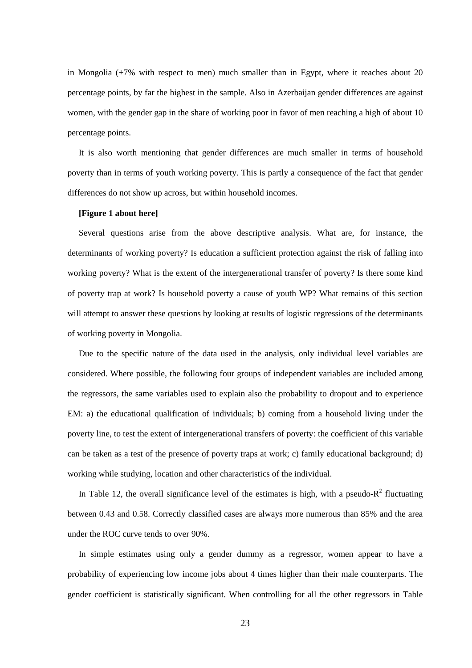in Mongolia (+7% with respect to men) much smaller than in Egypt, where it reaches about 20 percentage points, by far the highest in the sample. Also in Azerbaijan gender differences are against women, with the gender gap in the share of working poor in favor of men reaching a high of about 10 percentage points.

It is also worth mentioning that gender differences are much smaller in terms of household poverty than in terms of youth working poverty. This is partly a consequence of the fact that gender differences do not show up across, but within household incomes.

#### **[Figure 1 about here]**

Several questions arise from the above descriptive analysis. What are, for instance, the determinants of working poverty? Is education a sufficient protection against the risk of falling into working poverty? What is the extent of the intergenerational transfer of poverty? Is there some kind of poverty trap at work? Is household poverty a cause of youth WP? What remains of this section will attempt to answer these questions by looking at results of logistic regressions of the determinants of working poverty in Mongolia.

Due to the specific nature of the data used in the analysis, only individual level variables are considered. Where possible, the following four groups of independent variables are included among the regressors, the same variables used to explain also the probability to dropout and to experience EM: a) the educational qualification of individuals; b) coming from a household living under the poverty line, to test the extent of intergenerational transfers of poverty: the coefficient of this variable can be taken as a test of the presence of poverty traps at work; c) family educational background; d) working while studying, location and other characteristics of the individual.

In Table 12, the overall significance level of the estimates is high, with a pseudo- $R^2$  fluctuating between 0.43 and 0.58. Correctly classified cases are always more numerous than 85% and the area under the ROC curve tends to over 90%.

In simple estimates using only a gender dummy as a regressor, women appear to have a probability of experiencing low income jobs about 4 times higher than their male counterparts. The gender coefficient is statistically significant. When controlling for all the other regressors in Table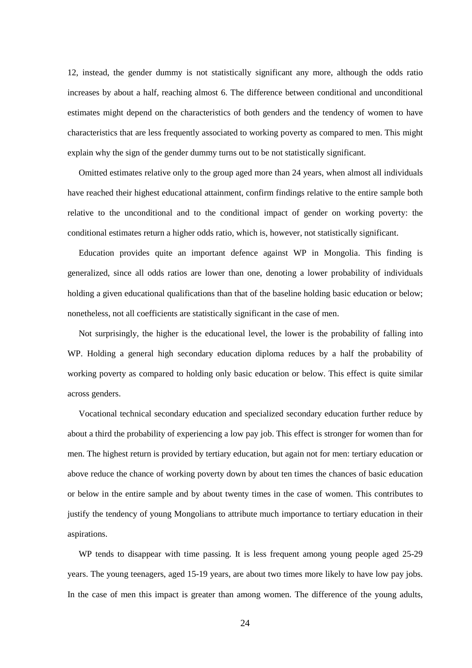12, instead, the gender dummy is not statistically significant any more, although the odds ratio increases by about a half, reaching almost 6. The difference between conditional and unconditional estimates might depend on the characteristics of both genders and the tendency of women to have characteristics that are less frequently associated to working poverty as compared to men. This might explain why the sign of the gender dummy turns out to be not statistically significant.

Omitted estimates relative only to the group aged more than 24 years, when almost all individuals have reached their highest educational attainment, confirm findings relative to the entire sample both relative to the unconditional and to the conditional impact of gender on working poverty: the conditional estimates return a higher odds ratio, which is, however, not statistically significant.

Education provides quite an important defence against WP in Mongolia. This finding is generalized, since all odds ratios are lower than one, denoting a lower probability of individuals holding a given educational qualifications than that of the baseline holding basic education or below; nonetheless, not all coefficients are statistically significant in the case of men.

Not surprisingly, the higher is the educational level, the lower is the probability of falling into WP. Holding a general high secondary education diploma reduces by a half the probability of working poverty as compared to holding only basic education or below. This effect is quite similar across genders.

Vocational technical secondary education and specialized secondary education further reduce by about a third the probability of experiencing a low pay job. This effect is stronger for women than for men. The highest return is provided by tertiary education, but again not for men: tertiary education or above reduce the chance of working poverty down by about ten times the chances of basic education or below in the entire sample and by about twenty times in the case of women. This contributes to justify the tendency of young Mongolians to attribute much importance to tertiary education in their aspirations.

WP tends to disappear with time passing. It is less frequent among young people aged 25-29 years. The young teenagers, aged 15-19 years, are about two times more likely to have low pay jobs. In the case of men this impact is greater than among women. The difference of the young adults,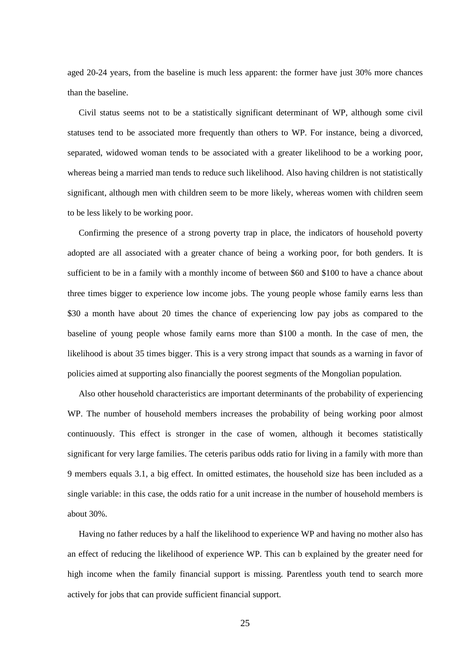aged 20-24 years, from the baseline is much less apparent: the former have just 30% more chances than the baseline.

Civil status seems not to be a statistically significant determinant of WP, although some civil statuses tend to be associated more frequently than others to WP. For instance, being a divorced, separated, widowed woman tends to be associated with a greater likelihood to be a working poor, whereas being a married man tends to reduce such likelihood. Also having children is not statistically significant, although men with children seem to be more likely, whereas women with children seem to be less likely to be working poor.

Confirming the presence of a strong poverty trap in place, the indicators of household poverty adopted are all associated with a greater chance of being a working poor, for both genders. It is sufficient to be in a family with a monthly income of between \$60 and \$100 to have a chance about three times bigger to experience low income jobs. The young people whose family earns less than \$30 a month have about 20 times the chance of experiencing low pay jobs as compared to the baseline of young people whose family earns more than \$100 a month. In the case of men, the likelihood is about 35 times bigger. This is a very strong impact that sounds as a warning in favor of policies aimed at supporting also financially the poorest segments of the Mongolian population.

Also other household characteristics are important determinants of the probability of experiencing WP. The number of household members increases the probability of being working poor almost continuously. This effect is stronger in the case of women, although it becomes statistically significant for very large families. The ceteris paribus odds ratio for living in a family with more than 9 members equals 3.1, a big effect. In omitted estimates, the household size has been included as a single variable: in this case, the odds ratio for a unit increase in the number of household members is about 30%.

Having no father reduces by a half the likelihood to experience WP and having no mother also has an effect of reducing the likelihood of experience WP. This can b explained by the greater need for high income when the family financial support is missing. Parentless youth tend to search more actively for jobs that can provide sufficient financial support.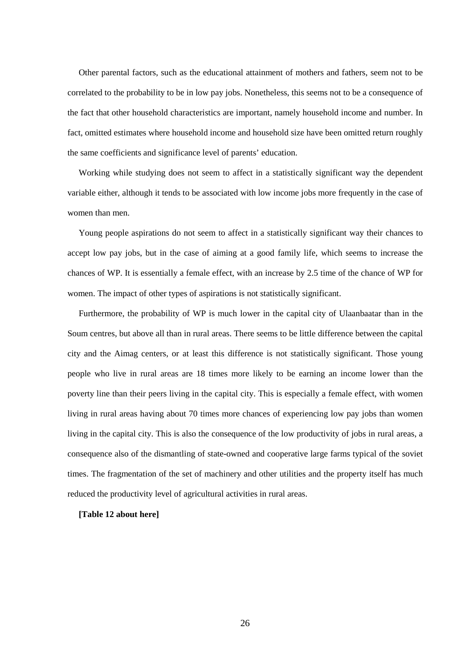Other parental factors, such as the educational attainment of mothers and fathers, seem not to be correlated to the probability to be in low pay jobs. Nonetheless, this seems not to be a consequence of the fact that other household characteristics are important, namely household income and number. In fact, omitted estimates where household income and household size have been omitted return roughly the same coefficients and significance level of parents' education.

Working while studying does not seem to affect in a statistically significant way the dependent variable either, although it tends to be associated with low income jobs more frequently in the case of women than men.

Young people aspirations do not seem to affect in a statistically significant way their chances to accept low pay jobs, but in the case of aiming at a good family life, which seems to increase the chances of WP. It is essentially a female effect, with an increase by 2.5 time of the chance of WP for women. The impact of other types of aspirations is not statistically significant.

Furthermore, the probability of WP is much lower in the capital city of Ulaanbaatar than in the Soum centres, but above all than in rural areas. There seems to be little difference between the capital city and the Aimag centers, or at least this difference is not statistically significant. Those young people who live in rural areas are 18 times more likely to be earning an income lower than the poverty line than their peers living in the capital city. This is especially a female effect, with women living in rural areas having about 70 times more chances of experiencing low pay jobs than women living in the capital city. This is also the consequence of the low productivity of jobs in rural areas, a consequence also of the dismantling of state-owned and cooperative large farms typical of the soviet times. The fragmentation of the set of machinery and other utilities and the property itself has much reduced the productivity level of agricultural activities in rural areas.

#### **[Table 12 about here]**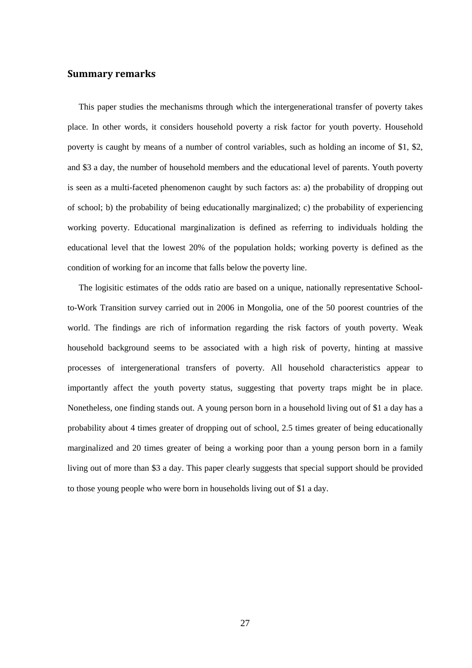## **Summary remarks**

This paper studies the mechanisms through which the intergenerational transfer of poverty takes place. In other words, it considers household poverty a risk factor for youth poverty. Household poverty is caught by means of a number of control variables, such as holding an income of \$1, \$2, and \$3 a day, the number of household members and the educational level of parents. Youth poverty is seen as a multi-faceted phenomenon caught by such factors as: a) the probability of dropping out of school; b) the probability of being educationally marginalized; c) the probability of experiencing working poverty. Educational marginalization is defined as referring to individuals holding the educational level that the lowest 20% of the population holds; working poverty is defined as the condition of working for an income that falls below the poverty line.

The logisitic estimates of the odds ratio are based on a unique, nationally representative Schoolto-Work Transition survey carried out in 2006 in Mongolia, one of the 50 poorest countries of the world. The findings are rich of information regarding the risk factors of youth poverty. Weak household background seems to be associated with a high risk of poverty, hinting at massive processes of intergenerational transfers of poverty. All household characteristics appear to importantly affect the youth poverty status, suggesting that poverty traps might be in place. Nonetheless, one finding stands out. A young person born in a household living out of \$1 a day has a probability about 4 times greater of dropping out of school, 2.5 times greater of being educationally marginalized and 20 times greater of being a working poor than a young person born in a family living out of more than \$3 a day. This paper clearly suggests that special support should be provided to those young people who were born in households living out of \$1 a day.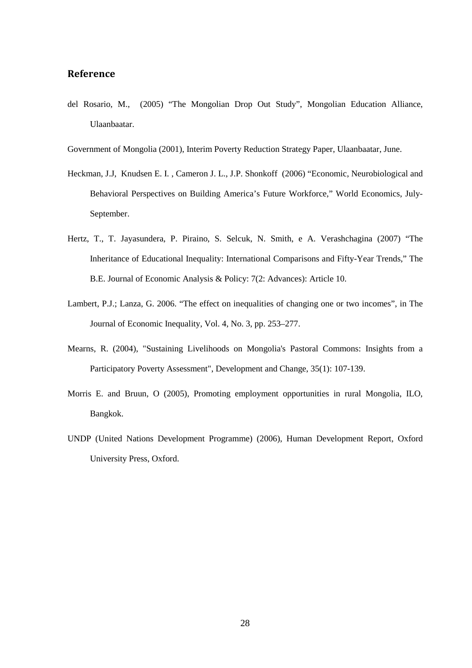## **Reference**

del Rosario, M., (2005) "The Mongolian Drop Out Study", Mongolian Education Alliance, Ulaanbaatar.

Government of Mongolia (2001), Interim Poverty Reduction Strategy Paper, Ulaanbaatar, June.

- Heckman, J.J, Knudsen E. I. , Cameron J. L., J.P. Shonkoff (2006) "Economic, Neurobiological and Behavioral Perspectives on Building America's Future Workforce," World Economics, July-September.
- Hertz, T., T. Jayasundera, P. Piraino, S. Selcuk, N. Smith, e A. Verashchagina (2007) "The Inheritance of Educational Inequality: International Comparisons and Fifty-Year Trends," The B.E. Journal of Economic Analysis & Policy: 7(2: Advances): Article 10.
- Lambert, P.J.; Lanza, G. 2006. "The effect on inequalities of changing one or two incomes", in The Journal of Economic Inequality, Vol. 4, No. 3, pp. 253–277.
- Mearns, R. (2004), "Sustaining Livelihoods on Mongolia's Pastoral Commons: Insights from a Participatory Poverty Assessment", Development and Change, 35(1): 107-139.
- Morris E. and Bruun, O (2005), Promoting employment opportunities in rural Mongolia, ILO, Bangkok.
- UNDP (United Nations Development Programme) (2006), Human Development Report, Oxford University Press, Oxford.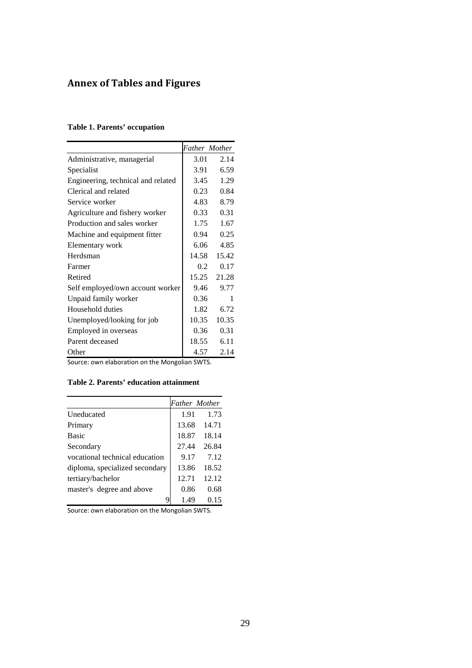## **Annex of Tables and Figures**

## **Table 1. Parents' occupation**

|                                    |       | <b>Father Mother</b> |
|------------------------------------|-------|----------------------|
| Administrative, managerial         | 3.01  | 2.14                 |
| Specialist                         | 3.91  | 6.59                 |
| Engineering, technical and related | 3.45  | 1.29                 |
| Clerical and related               | 0.23  | 0.84                 |
| Service worker                     | 4.83  | 8.79                 |
| Agriculture and fishery worker     | 0.33  | 0.31                 |
| Production and sales worker        | 1.75  | 1.67                 |
| Machine and equipment fitter       | 0.94  | 0.25                 |
| Elementary work                    | 6.06  | 4.85                 |
| Herdsman                           | 14.58 | 15.42                |
| Farmer                             | 0.2   | 0.17                 |
| Retired                            |       | 15.25 21.28          |
| Self employed/own account worker   | 9.46  | 9.77                 |
| Unpaid family worker               | 0.36  | 1                    |
| Household duties                   | 1.82  | 6.72                 |
| Unemployed/looking for job         | 10.35 | 10.35                |
| Employed in overseas               | 0.36  | 0.31                 |
| Parent deceased                    | 18.55 | 6.11                 |
| Other                              | 4.57  | 2.14                 |

Source: own elaboration on the Mongolian SWTS.

## **Table 2. Parents' education attainment**

|                                |       | <b>Father Mother</b> |
|--------------------------------|-------|----------------------|
| <b>Uneducated</b>              | 1.91  | 1.73                 |
| Primary                        | 13.68 | 14.71                |
| <b>Basic</b>                   | 18.87 | 18.14                |
| Secondary                      | 27.44 | 26.84                |
| vocational technical education | 9.17  | 7.12                 |
| diploma, specialized secondary | 13.86 | 18.52                |
| tertiary/bachelor              | 12.71 | 12.12                |
| master's degree and above      | 0.86  | 0.68                 |
|                                | 1.49  | 0.15                 |

Source: own elaboration on the Mongolian SWTS.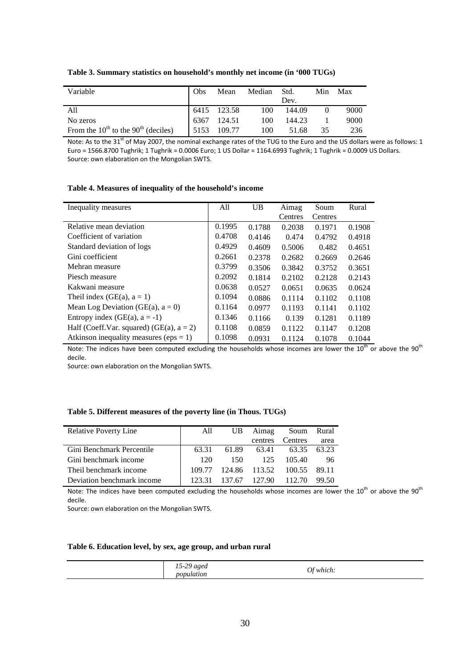| Table 3. Summary statistics on household's monthly net income (in '000 TUGs) |  |  |  |
|------------------------------------------------------------------------------|--|--|--|
|------------------------------------------------------------------------------|--|--|--|

| Variable                                      | Obs | Mean        | Median Std. |        | Min | Max  |
|-----------------------------------------------|-----|-------------|-------------|--------|-----|------|
|                                               |     |             |             | Dev.   |     |      |
| A11                                           |     | 6415 123.58 | 100         | 144.09 |     | 9000 |
| No zeros                                      |     | 6367 124.51 | 100         | 144.23 |     | 9000 |
| From the $10^{th}$ to the $90^{th}$ (deciles) |     | 5153 109.77 | 100         | 51.68  | 35  | 236  |

Note: As to the 31<sup>st</sup> of May 2007, the nominal exchange rates of the TUG to the Euro and the US dollars were as follows: 1 Euro = 1566.8700 Tughrik; 1 Tughrik = 0.0006 Euro; 1 US Dollar = 1164.6993 Tughrik; 1 Tughrik = 0.0009 US Dollars. Source: own elaboration on the Mongolian SWTS.

#### **Table 4. Measures of inequality of the household's income**

| Inequality measures                         | All    | <b>UB</b> | Aimag   | Soum    | Rural  |
|---------------------------------------------|--------|-----------|---------|---------|--------|
|                                             |        |           | Centres | Centres |        |
| Relative mean deviation                     | 0.1995 | 0.1788    | 0.2038  | 0.1971  | 0.1908 |
| Coefficient of variation                    | 0.4708 | 0.4146    | 0.474   | 0.4792  | 0.4918 |
| Standard deviation of logs                  | 0.4929 | 0.4609    | 0.5006  | 0.482   | 0.4651 |
| Gini coefficient                            | 0.2661 | 0.2378    | 0.2682  | 0.2669  | 0.2646 |
| Mehran measure                              | 0.3799 | 0.3506    | 0.3842  | 0.3752  | 0.3651 |
| Piesch measure                              | 0.2092 | 0.1814    | 0.2102  | 0.2128  | 0.2143 |
| Kakwani measure                             | 0.0638 | 0.0527    | 0.0651  | 0.0635  | 0.0624 |
| Theil index (GE(a), $a = 1$ )               | 0.1094 | 0.0886    | 0.1114  | 0.1102  | 0.1108 |
| Mean Log Deviation (GE(a), $a = 0$ )        | 0.1164 | 0.0977    | 0.1193  | 0.1141  | 0.1102 |
| Entropy index $(GE(a), a = -1)$             | 0.1346 | 0.1166    | 0.139   | 0.1281  | 0.1189 |
| Half (Coeff.Var. squared) (GE(a), $a = 2$ ) | 0.1108 | 0.0859    | 0.1122  | 0.1147  | 0.1208 |
| Atkinson inequality measures (eps $= 1$ )   | 0.1098 | 0.0931    | 0.1124  | 0.1078  | 0.1044 |

Note: The indices have been computed excluding the households whose incomes are lower the  $10^{th}$  or above the  $90^{th}$ decile.

Source: own elaboration on the Mongolian SWTS.

#### **Table 5. Different measures of the poverty line (in Thous. TUGs)**

| <b>Relative Poverty Line</b> | All    | UB     | Aimag   | Soum    | Rural |
|------------------------------|--------|--------|---------|---------|-------|
|                              |        |        | centres | Centres | area  |
| Gini Benchmark Percentile    | 63.31  | 61.89  | 63.41   | 63.35   | 63.23 |
| Gini benchmark income        | 120    | 150    | 125     | 105.40  | 96    |
| Theil benchmark income       | 109.77 | 124.86 | 113.52  | 100.55  | 89.11 |
| Deviation benchmark income   | 123.31 | 137.67 | 127.90  | 112.70  | 99.50 |

Note: The indices have been computed excluding the households whose incomes are lower the 10<sup>th</sup> or above the 90<sup>th</sup> decile.

Source: own elaboration on the Mongolian SWTS.

#### **Table 6. Education level, by sex, age group, and urban rural**

| $\gamma$<br>$\eta \varrho \varrho_{\scriptscriptstyle L}$<br>$\cdot$ $-$<br>$\sim$ $\sim$<br>$\circ$ $\circ$ $\circ$<br>which<br>nun.<br>nc<br>ion |
|----------------------------------------------------------------------------------------------------------------------------------------------------|
|----------------------------------------------------------------------------------------------------------------------------------------------------|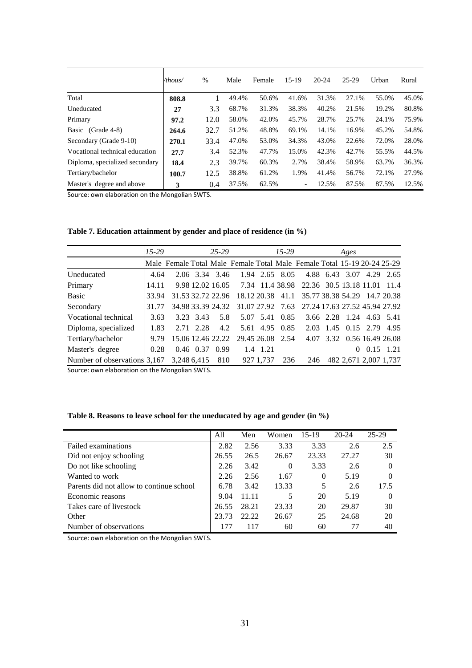|                                | /thous/ | %    | Male  | Female | $15-19$                  | $20 - 24$ | 25-29 | Urban | Rural |
|--------------------------------|---------|------|-------|--------|--------------------------|-----------|-------|-------|-------|
| Total                          | 808.8   |      | 49.4% | 50.6%  | 41.6%                    | 31.3%     | 27.1% | 55.0% | 45.0% |
| Uneducated                     | 27      | 3.3  | 68.7% | 31.3%  | 38.3%                    | 40.2%     | 21.5% | 19.2% | 80.8% |
| Primary                        | 97.2    | 12.0 | 58.0% | 42.0%  | 45.7%                    | 28.7%     | 25.7% | 24.1% | 75.9% |
| Basic (Grade 4-8)              | 264.6   | 32.7 | 51.2% | 48.8%  | 69.1%                    | 14.1%     | 16.9% | 45.2% | 54.8% |
| Secondary (Grade 9-10)         | 270.1   | 33.4 | 47.0% | 53.0%  | 34.3%                    | 43.0%     | 22.6% | 72.0% | 28.0% |
| Vocational technical education | 27.7    | 3.4  | 52.3% | 47.7%  | 15.0%                    | 42.3%     | 42.7% | 55.5% | 44.5% |
| Diploma, specialized secondary | 18.4    | 2.3  | 39.7% | 60.3%  | 2.7%                     | 38.4%     | 58.9% | 63.7% | 36.3% |
| Tertiary/bachelor              | 100.7   | 12.5 | 38.8% | 61.2%  | 1.9%                     | 41.4%     | 56.7% | 72.1% | 27.9% |
| Master's degree and above      | 3       | 0.4  | 37.5% | 62.5%  | $\overline{\phantom{a}}$ | 12.5%     | 87.5% | 87.5% | 12.5% |

Source: own elaboration on the Mongolian SWTS.

| Table 7. Education attainment by gender and place of residence (in $\%$ ) |  |  |  |
|---------------------------------------------------------------------------|--|--|--|
|---------------------------------------------------------------------------|--|--|--|

|                                              | $15-29$ |                                                                         |                   | $25 - 29$ |                  |           | $15-29$          |                                                                  |           | Ages |      |                            |
|----------------------------------------------|---------|-------------------------------------------------------------------------|-------------------|-----------|------------------|-----------|------------------|------------------------------------------------------------------|-----------|------|------|----------------------------|
|                                              |         | Male Female Total Male Female Total Male Female Total 15-19 20-24 25-29 |                   |           |                  |           |                  |                                                                  |           |      |      |                            |
| Uneducated                                   | 4.64    |                                                                         | 2.06 3.34 3.46    |           |                  |           | 1.94 2.65 8.05   |                                                                  | 4.88 6.43 | 3.07 | 4.29 | 2.65                       |
| Primary                                      | 14.11   |                                                                         |                   |           |                  |           |                  | 9.98 12.02 16.05 7.34 11.4 38.98 22.36 30.5 13.18 11.01 11.4     |           |      |      |                            |
| <b>Basic</b>                                 | 33.94   |                                                                         | 31.53 32.72 22.96 |           |                  |           | 18.12 20.38 41.1 | 35.77 38.38 54.29 14.7 20.38                                     |           |      |      |                            |
| Secondary                                    | 31.77   |                                                                         |                   |           |                  |           |                  | 34.98 33.39 24.32 31.07 27.92 7.63 27.24 17.63 27.52 45.94 27.92 |           |      |      |                            |
| Vocational technical                         | 3.63    |                                                                         | 3.23 3.43         | 5.8       |                  |           | 5.07 5.41 0.85   | 3.66 2.28 1.24 4.63 5.41                                         |           |      |      |                            |
| Diploma, specialized                         | 1.83    |                                                                         | 2.71 2.28         | 4.2       |                  |           |                  | 5.61 4.95 0.85 2.03 1.45 0.15 2.79 4.95                          |           |      |      |                            |
| Tertiary/bachelor                            | 9.79    |                                                                         | 15.06 12.46 22.22 |           | 29.45 26.08 2.54 |           |                  |                                                                  |           |      |      | 4.07 3.32 0.56 16.49 26.08 |
| Master's degree                              | 0.28    |                                                                         | $0.46$ $0.37$     | 0.99      |                  | 1.4 1.21  |                  |                                                                  |           | 0    |      | $0.15$ 1.21                |
| Number of observations 3,167 3,248 6,415 810 |         |                                                                         |                   |           |                  | 927 1,737 | 236              | 246                                                              |           |      |      | 482 2,671 2,007 1,737      |

Source: own elaboration on the Mongolian SWTS.

| Table 8. Reasons to leave school for the uneducated by age and gender (in %) |  |  |
|------------------------------------------------------------------------------|--|--|
|------------------------------------------------------------------------------|--|--|

|                                          | A11   | Men   | Women    | $15-19$  | $20 - 24$ | $25-29$  |
|------------------------------------------|-------|-------|----------|----------|-----------|----------|
| Failed examinations                      | 2.82  | 2.56  | 3.33     | 3.33     | 2.6       | 2.5      |
| Did not enjoy schooling                  | 26.55 | 26.5  | 26.67    | 23.33    | 27.27     | 30       |
| Do not like schooling                    | 2.26  | 3.42  | $\Omega$ | 3.33     | 2.6       | 0        |
| Wanted to work                           | 2.26  | 2.56  | 1.67     | $\Omega$ | 5.19      | 0        |
| Parents did not allow to continue school | 6.78  | 3.42  | 13.33    | 5        | 2.6       | 17.5     |
| Economic reasons                         | 9.04  | 11.11 | 5        | 20       | 5.19      | $\theta$ |
| Takes care of livestock                  | 26.55 | 28.21 | 23.33    | 20       | 29.87     | 30       |
| Other                                    | 23.73 | 22.22 | 26.67    | 25       | 24.68     | 20       |
| Number of observations                   | 177   | 117   | 60       | 60       | 77        | 40       |

Source: own elaboration on the Mongolian SWTS.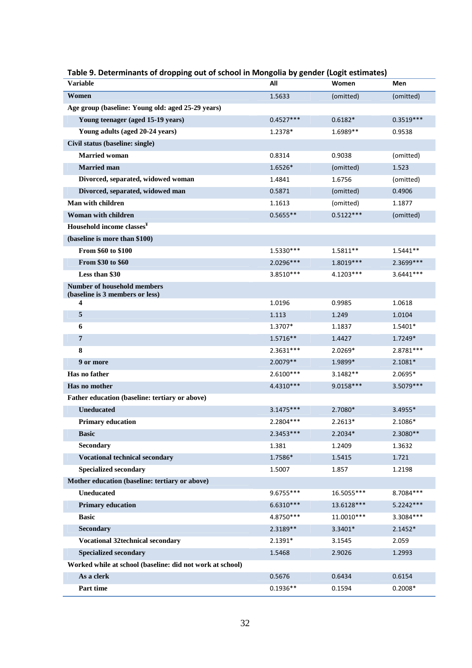| <b>Variable</b>                                           | All         | Women       | Men         |
|-----------------------------------------------------------|-------------|-------------|-------------|
| Women                                                     | 1.5633      | (omitted)   | (omitted)   |
| Age group (baseline: Young old: aged 25-29 years)         |             |             |             |
| Young teenager (aged 15-19 years)                         | $0.4527***$ | $0.6182*$   | $0.3519***$ |
| Young adults (aged 20-24 years)                           | 1.2378*     | 1.6989**    | 0.9538      |
| Civil status (baseline: single)                           |             |             |             |
| <b>Married woman</b>                                      | 0.8314      | 0.9038      | (omitted)   |
| <b>Married</b> man                                        | 1.6526*     | (omitted)   | 1.523       |
| Divorced, separated, widowed woman                        | 1.4841      | 1.6756      | (omitted)   |
| Divorced, separated, widowed man                          | 0.5871      | (omitted)   | 0.4906      |
| Man with children                                         | 1.1613      | (omitted)   | 1.1877      |
| <b>Woman with children</b>                                | $0.5655**$  | $0.5122***$ | (omitted)   |
| Household income classes <sup>Y</sup>                     |             |             |             |
| (baseline is more than \$100)                             |             |             |             |
| From \$60 to \$100                                        | $1.5330***$ | $1.5811**$  | $1.5441**$  |
| From \$30 to \$60                                         | 2.0296***   | 1.8019 ***  | 2.3699 ***  |
| Less than \$30                                            | $3.8510***$ | 4.1203***   | $3.6441***$ |
| <b>Number of household members</b>                        |             |             |             |
| (baseline is 3 members or less)<br>4                      | 1.0196      | 0.9985      | 1.0618      |
| 5                                                         | 1.113       | 1.249       | 1.0104      |
| 6                                                         | 1.3707*     | 1.1837      | 1.5401*     |
| 7                                                         | 1.5716**    | 1.4427      | 1.7249*     |
| 8                                                         | 2.3631 ***  | 2.0269*     | 2.8781 ***  |
| 9 or more                                                 | 2.0079 **   | 1.9899*     | 2.1081*     |
| Has no father                                             | $2.6100***$ | 3.1482**    | 2.0695*     |
| Has no mother                                             | 4.4310***   | $9.0158***$ | 3.5079 ***  |
| Father education (baseline: tertiary or above)            |             |             |             |
| <b>Uneducated</b>                                         | 3.1475***   | 2.7080*     | 3.4955*     |
| <b>Primary education</b>                                  | 2.2804 ***  | $2.2613*$   | 2.1086*     |
| <b>Basic</b>                                              | 2.3453 ***  | 2.2034*     | 2.3080**    |
| Secondary                                                 | 1.381       | 1.2409      | 1.3632      |
| <b>Vocational technical secondary</b>                     | 1.7586*     | 1.5415      | 1.721       |
| <b>Specialized secondary</b>                              | 1.5007      | 1.857       | 1.2198      |
| Mother education (baseline: tertiary or above)            |             |             |             |
| <b>Uneducated</b>                                         | 9.6755***   | 16.5055***  | 8.7084***   |
| <b>Primary education</b>                                  | $6.6310***$ | 13.6128***  | 5.2242***   |
| <b>Basic</b>                                              | 4.8750***   | 11.0010 *** | 3.3084***   |
| Secondary                                                 | 2.3189**    | 3.3401*     | $2.1452*$   |
| <b>Vocational 32technical secondary</b>                   | 2.1391*     | 3.1545      | 2.059       |
| <b>Specialized secondary</b>                              | 1.5468      | 2.9026      | 1.2993      |
| Worked while at school (baseline: did not work at school) |             |             |             |
| As a clerk                                                | 0.5676      | 0.6434      | 0.6154      |
| Part time                                                 | $0.1936**$  | 0.1594      | $0.2008*$   |

### **Table 9. Determinants of dropping out of school in Mongolia by gender (Logit estimates)**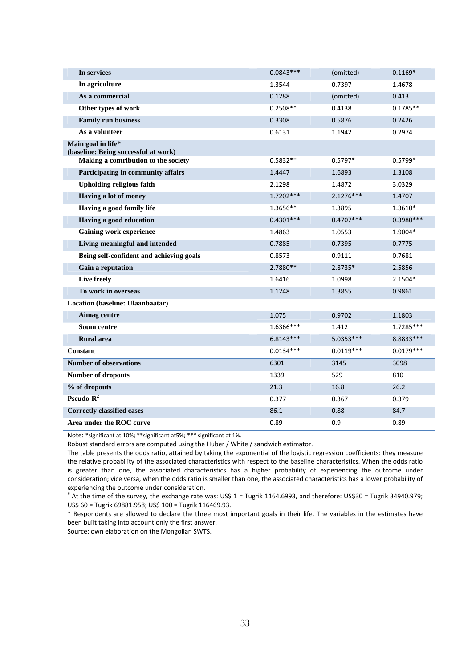| In services                                                                  | $0.0843***$ | (omitted)   | $0.1169*$   |
|------------------------------------------------------------------------------|-------------|-------------|-------------|
| In agriculture                                                               | 1.3544      | 0.7397      | 1.4678      |
| As a commercial                                                              | 0.1288      | (omitted)   | 0.413       |
| Other types of work                                                          | $0.2508**$  | 0.4138      | $0.1785**$  |
| <b>Family run business</b>                                                   | 0.3308      | 0.5876      | 0.2426      |
| As a volunteer                                                               | 0.6131      | 1.1942      | 0.2974      |
| Main goal in life*                                                           |             |             |             |
| (baseline: Being successful at work)<br>Making a contribution to the society | $0.5832**$  | $0.5797*$   | $0.5799*$   |
| Participating in community affairs                                           | 1.4447      | 1.6893      | 1.3108      |
| <b>Upholding religious faith</b>                                             | 2.1298      | 1.4872      | 3.0329      |
|                                                                              |             |             |             |
| Having a lot of money                                                        | 1.7202 ***  | 2.1276***   | 1.4707      |
| Having a good family life                                                    | 1.3656**    | 1.3895      | 1.3610*     |
| Having a good education                                                      | $0.4301***$ | $0.4707***$ | $0.3980***$ |
| <b>Gaining work experience</b>                                               | 1.4863      | 1.0553      | 1.9004*     |
| Living meaningful and intended                                               | 0.7885      | 0.7395      | 0.7775      |
| Being self-confident and achieving goals                                     | 0.8573      | 0.9111      | 0.7681      |
| Gain a reputation                                                            | 2.7880**    | 2.8735*     | 2.5856      |
| Live freely                                                                  | 1.6416      | 1.0998      | 2.1504*     |
| To work in overseas                                                          | 1.1248      | 1.3855      | 0.9861      |
| Location (baseline: Ulaanbaatar)                                             |             |             |             |
| Aimag centre                                                                 | 1.075       | 0.9702      | 1.1803      |
| Soum centre                                                                  | 1.6366***   | 1.412       | 1.7285***   |
| <b>Rural</b> area                                                            | $6.8143***$ | 5.0353***   | 8.8833 ***  |
| <b>Constant</b>                                                              | $0.0134***$ | $0.0119***$ | $0.0179***$ |
| <b>Number of observations</b>                                                | 6301        | 3145        | 3098        |
| <b>Number of dropouts</b>                                                    | 1339        | 529         | 810         |
| % of dropouts                                                                | 21.3        | 16.8        | 26.2        |
| Pseudo- $R^2$                                                                | 0.377       | 0.367       | 0.379       |
| <b>Correctly classified cases</b>                                            | 86.1        | 0.88        | 84.7        |
| Area under the ROC curve                                                     | 0.89        | 0.9         | 0.89        |

Note: \*significant at 10%; \*\*significant at5%; \*\*\* significant at 1%.

Robust standard errors are computed using the Huber / White / sandwich estimator.

The table presents the odds ratio, attained by taking the exponential of the logistic regression coefficients: they measure the relative probability of the associated characteristics with respect to the baseline characteristics. When the odds ratio is greater than one, the associated characteristics has a higher probability of experiencing the outcome under consideration; vice versa, when the odds ratio is smaller than one, the associated characteristics has a lower probability of experiencing the outcome under consideration.

 $*$  At the time of the survey, the exchange rate was: US\$ 1 = Tugrik 1164.6993, and therefore: US\$30 = Tugrik 34940.979; US\$ 60 = Tugrik 69881.958; US\$ 100 = Tugrik 116469.93.

\* Respondents are allowed to declare the three most important goals in their life. The variables in the estimates have been built taking into account only the first answer.

Source: own elaboration on the Mongolian SWTS.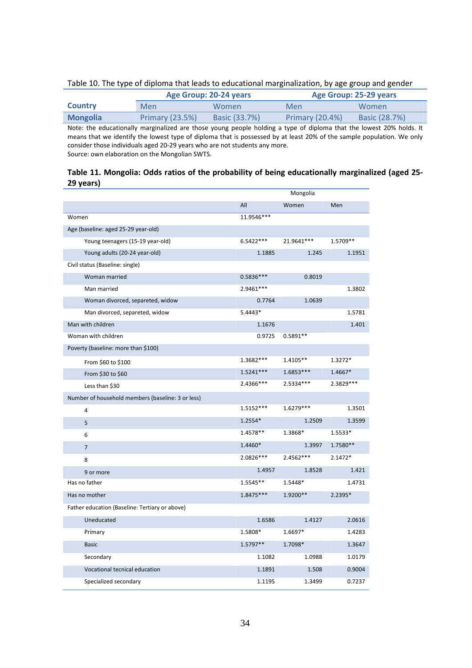## Table 10. The type of diploma that leads to educational marginalization, by age group and gender

|                 |                 | Age Group: 20-24 years | Age Group: 25-29 years |               |  |
|-----------------|-----------------|------------------------|------------------------|---------------|--|
| <b>Country</b>  | Men             | <b>Women</b>           | Men                    | Women         |  |
| <b>Mongolia</b> | Primary (23.5%) | <b>Basic (33.7%)</b>   | Primary (20.4%)        | Basic (28.7%) |  |

Note: the educationally marginalized are those young people holding a type of diploma that the lowest 20% holds. It means that we identify the lowest type of diploma that is possessed by at least 20% of the sample population. We only consider those individuals aged 20-29 years who are not students any more. Source: own elaboration on the Mongolian SWTS.

## **Table 11. Mongolia: Odds ratios of the probability of being educationally marginalized (aged 25- 29 years)**

|                                                   |             | Mongolia   |            |
|---------------------------------------------------|-------------|------------|------------|
|                                                   | All         | Women      | Men        |
| Women                                             | 11.9546***  |            |            |
| Age (baseline: aged 25-29 year-old)               |             |            |            |
| Young teenagers (15-19 year-old)                  | $6.5422***$ | 21.9641*** | 1.5709**   |
| Young adults (20-24 year-old)                     | 1.1885      | 1.245      | 1.1951     |
| Civil status (Baseline: single)                   |             |            |            |
| Woman married                                     | $0.5836***$ | 0.8019     |            |
| Man married                                       | 2.9461 ***  |            | 1.3802     |
| Woman divorced, separeted, widow                  | 0.7764      | 1.0639     |            |
| Man divorced, separeted, widow                    | $5.4443*$   |            | 1.5781     |
| Man with children                                 | 1.1676      |            | 1.401      |
| Woman with children                               | 0.9725      | $0.5891**$ |            |
| Poverty (baseline: more than \$100)               |             |            |            |
| From \$60 to \$100                                | 1.3682***   | $1.4105**$ | 1.3272*    |
| From \$30 to \$60                                 | $1.5241***$ | 1.6853***  | 1.4667*    |
| Less than \$30                                    | 2.4366***   | 2.5334 *** | 2.3829 *** |
| Number of household members (baseline: 3 or less) |             |            |            |
| 4                                                 | 1.5152***   | 1.6279***  | 1.3501     |
| 5                                                 | $1.2554*$   | 1.2509     | 1.3599     |
| 6                                                 | 1.4578**    | 1.3868*    | 1.5533*    |
| $\overline{7}$                                    | 1.4460*     | 1.3997     | 1.7580**   |
| 8                                                 | $2.0826***$ | 2.4562***  | $2.1472*$  |
| 9 or more                                         | 1.4957      | 1.8528     | 1.421      |
| Has no father                                     | 1.5545**    | 1.5448*    | 1.4731     |
| Has no mother                                     | $1.8475***$ | $1.9200**$ | 2.2395*    |
| Father education (Baseline: Tertiary or above)    |             |            |            |
| Uneducated                                        | 1.6586      | 1.4127     | 2.0616     |
| Primary                                           | 1.5808*     | 1.6697*    | 1.4283     |
| <b>Basic</b>                                      | 1.5797**    | 1.7098*    | 1.3647     |
| Secondary                                         | 1.1082      | 1.0988     | 1.0179     |
| Vocational tecnical education                     | 1.1891      | 1.508      | 0.9004     |
| Specialized secondary                             | 1.1195      | 1.3499     | 0.7237     |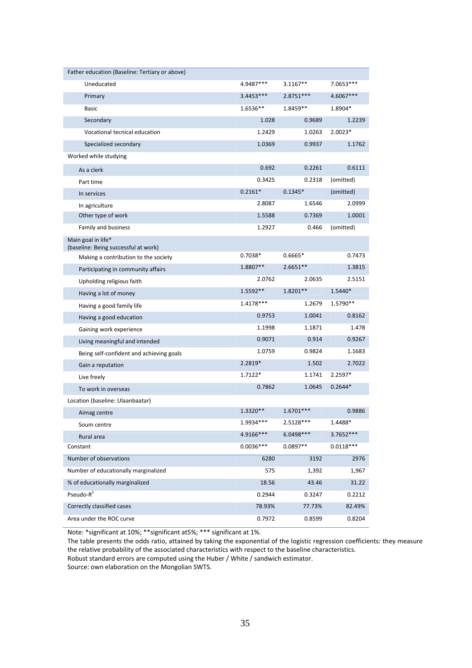| Father education (Baseline: Tertiary or above)                               |             |             |             |
|------------------------------------------------------------------------------|-------------|-------------|-------------|
| Uneducated                                                                   | 4.9487***   | $3.1167**$  | 7.0653***   |
| Primary                                                                      | 3.4453 ***  | 2.8751 ***  | 4.6067***   |
| <b>Basic</b>                                                                 | 1.6536**    | 1.8459**    | 1.8904*     |
| Secondary                                                                    | 1.028       | 0.9689      | 1.2239      |
| Vocational tecnical education                                                | 1.2429      | 1.0263      | $2.0023*$   |
| Specialized secondary                                                        | 1.0369      | 0.9937      | 1.1762      |
| Worked while studying                                                        |             |             |             |
| As a clerk                                                                   | 0.692       | 0.2261      | 0.6111      |
| Part time                                                                    | 0.3425      | 0.2318      | (omitted)   |
| In services                                                                  | $0.2161*$   | $0.1345*$   | (omitted)   |
| In agriculture                                                               | 2.8087      | 1.6546      | 2.0999      |
| Other type of work                                                           | 1.5588      | 0.7369      | 1.0001      |
| Family and business                                                          | 1.2927      | 0.466       | (omitted)   |
| Main goal in life*                                                           |             |             |             |
| (baseline: Being successful at work)<br>Making a contribution to the society | $0.7038*$   | $0.6665*$   | 0.7473      |
| Participating in community affairs                                           | 1.8807**    | $2.6651**$  | 1.3815      |
| Upholding religious faith                                                    | 2.0762      | 2.0635      | 2.5151      |
| Having a lot of money                                                        | 1.5592**    | 1.8201**    | 1.5440*     |
| Having a good family life                                                    | 1.4178***   | 1.2679      | 1.5790**    |
| Having a good education                                                      | 0.9753      | 1.0041      | 0.8162      |
| Gaining work experience                                                      | 1.1998      | 1.1871      | 1.478       |
| Living meaningful and intended                                               | 0.9071      | 0.914       | 0.9267      |
| Being self-confident and achieving goals                                     | 1.0759      | 0.9824      | 1.1683      |
| Gain a reputation                                                            | 2.2819*     | 1.502       | 2.7022      |
| Live freely                                                                  | $1.7122*$   | 1.1741      | 2.2597*     |
| To work in overseas                                                          | 0.7862      | 1.0645      | $0.2644*$   |
| Location (baseline: Ulaanbaatar)                                             |             |             |             |
| Aimag centre                                                                 | 1.3320**    | $1.6701***$ | 0.9886      |
| Soum centre                                                                  | 1.9934***   | $2.5128***$ | 1.4488*     |
| Rural area                                                                   | 4.9166***   | 6.0498***   | 3.7652 ***  |
| Constant                                                                     | $0.0036***$ | $0.0897**$  | $0.0118***$ |
| Number of observations                                                       | 6280        | 3192        | 2976        |
| Number of educationally marginalized                                         | 575         | 1,392       | 1,967       |
| % of educationally marginalized                                              | 18.56       | 43.46       | 31.22       |
| $Pseudo-R2$                                                                  | 0.2944      | 0.3247      | 0.2212      |
| Correctly classified cases                                                   | 78.93%      | 77.73%      | 82.49%      |
| Area under the ROC curve                                                     | 0.7972      | 0.8599      | 0.8204      |

Note: \*significant at 10%; \*\*significant at5%; \*\*\* significant at 1%.

The table presents the odds ratio, attained by taking the exponential of the logistic regression coefficients: they measure the relative probability of the associated characteristics with respect to the baseline characteristics.

Robust standard errors are computed using the Huber / White / sandwich estimator.

Source: own elaboration on the Mongolian SWTS.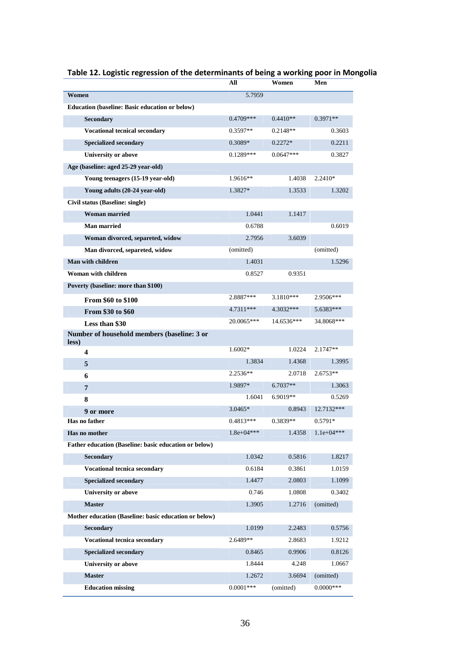|                                                       | All          | Women       | Men          |
|-------------------------------------------------------|--------------|-------------|--------------|
| Women                                                 | 5.7959       |             |              |
| <b>Education (baseline: Basic education or below)</b> |              |             |              |
| Secondary                                             | 0.4709***    | $0.4410**$  | $0.3971**$   |
| <b>Vocational tecnical secondary</b>                  | $0.3597**$   | $0.2148**$  | 0.3603       |
| <b>Specialized secondary</b>                          | 0.3089*      | $0.2272*$   | 0.2211       |
| <b>University or above</b>                            | $0.1289***$  | $0.0647***$ | 0.3827       |
| Age (baseline: aged 25-29 year-old)                   |              |             |              |
| Young teenagers (15-19 year-old)                      | 1.9616**     | 1.4038      | 2.2410*      |
| Young adults (20-24 year-old)                         | 1.3827*      | 1.3533      | 1.3202       |
| Civil status (Baseline: single)                       |              |             |              |
| <b>Woman married</b>                                  | 1.0441       | 1.1417      |              |
| <b>Man married</b>                                    | 0.6788       |             | 0.6019       |
| Woman divorced, separeted, widow                      | 2.7956       | 3.6039      |              |
| Man divorced, separeted, widow                        | (omitted)    |             | (omitted)    |
| Man with children                                     | 1.4031       |             | 1.5296       |
| Woman with children                                   | 0.8527       | 0.9351      |              |
| Poverty (baseline: more than \$100)                   |              |             |              |
| <b>From \$60 to \$100</b>                             | 2.8887***    | 3.1810***   | 2.9506***    |
| From \$30 to \$60                                     | $4.7311***$  | 4.3032***   | 5.6383***    |
| Less than \$30                                        | 20.0065***   | 14.6536***  | 34.8068***   |
| Number of household members (baseline: 3 or<br>less)  |              |             |              |
| 4                                                     | 1.6002*      | 1.0224      | 2.1747**     |
| 5                                                     | 1.3834       | 1.4368      | 1.3995       |
| 6                                                     | 2.2536**     | 2.0718      | $2.6753**$   |
| 7                                                     | 1.9897*      | $6.7037**$  | 1.3063       |
| 8                                                     | 1.6041       | $6.9019**$  | 0.5269       |
| 9 or more                                             | 3.0465*      | 0.8943      | 12.7132***   |
| Has no father                                         | 0.4813***    | 0.3839**    | $0.5791*$    |
| Has no mother                                         | $1.8e+04***$ | 1.4358      | $1.1e+04***$ |
| Father education (Baseline: basic education or below) |              |             |              |
| <b>Secondary</b>                                      | 1.0342       | 0.5816      | 1.8217       |
| <b>Vocational tecnica secondary</b>                   | 0.6184       | 0.3861      | 1.0159       |
| <b>Specialized secondary</b>                          | 1.4477       | 2.0803      | 1.1099       |
| University or above                                   | 0.746        | 1.0808      | 0.3402       |
| <b>Master</b>                                         | 1.3905       | 1.2716      | (omitted)    |
| Mother education (Baseline: basic education or below) |              |             |              |
| <b>Secondary</b>                                      | 1.0199       | 2.2483      | 0.5756       |
| <b>Vocational tecnica secondary</b>                   | 2.6489**     | 2.8683      | 1.9212       |
| <b>Specialized secondary</b>                          | 0.8465       | 0.9906      | 0.8126       |
| <b>University or above</b>                            | 1.8444       | 4.248       | 1.0667       |
| <b>Master</b>                                         | 1.2672       | 3.6694      | (omitted)    |
| <b>Education missing</b>                              | $0.0001***$  | (omitted)   | $0.0000***$  |

## **Table 12. Logistic regression of the determinants of being a working poor in Mongolia**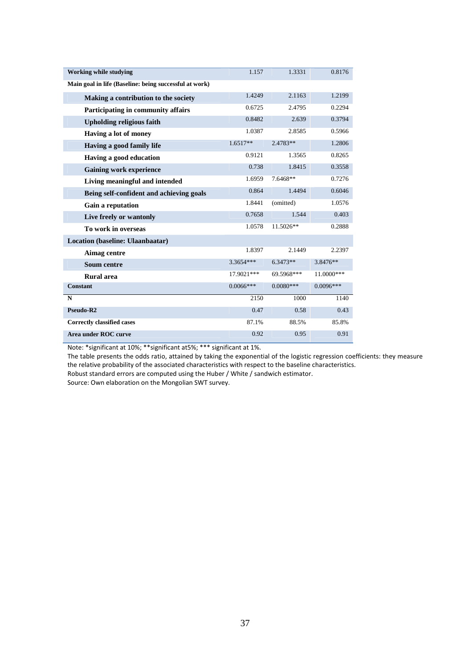| <b>Working while studying</b>                          | 1.157       | 1.3331      | 0.8176       |
|--------------------------------------------------------|-------------|-------------|--------------|
| Main goal in life (Baseline: being successful at work) |             |             |              |
| Making a contribution to the society                   | 1.4249      | 2.1163      | 1.2199       |
| Participating in community affairs                     | 0.6725      | 2.4795      | 0.2294       |
| <b>Upholding religious faith</b>                       | 0.8482      | 2.639       | 0.3794       |
| Having a lot of money                                  | 1.0387      | 2.8585      | 0.5966       |
| Having a good family life                              | $1.6517**$  | 2.4783**    | 1.2806       |
| Having a good education                                | 0.9121      | 1.3565      | 0.8265       |
| <b>Gaining work experience</b>                         | 0.738       | 1.8415      | 0.3558       |
| Living meaningful and intended                         | 1.6959      | 7.6468**    | 0.7276       |
| Being self-confident and achieving goals               | 0.864       | 1.4494      | 0.6046       |
| Gain a reputation                                      | 1.8441      | (omitted)   | 1.0576       |
| Live freely or wantonly                                | 0.7658      | 1.544       | 0.403        |
| To work in overseas                                    | 1.0578      | 11.5026**   | 0.2888       |
| Location (baseline: Ulaanbaatar)                       |             |             |              |
| Aimag centre                                           | 1.8397      | 2.1449      | 2.2397       |
| <b>Soum centre</b>                                     | 3.3654***   | $6.3473**$  | 3.8476**     |
| Rural area                                             | 17.9021***  | 69.5968***  | $11.0000***$ |
| <b>Constant</b>                                        | $0.0066***$ | $0.0080***$ | $0.0096***$  |
| $\mathbf N$                                            | 2150        | 1000        | 1140         |
| Pseudo-R2                                              | 0.47        | 0.58        | 0.43         |
| <b>Correctly classified cases</b>                      | 87.1%       | 88.5%       | 85.8%        |
| <b>Area under ROC curve</b>                            | 0.92        | 0.95        | 0.91         |

Note: \*significant at 10%; \*\*significant at5%; \*\*\* significant at 1%.

The table presents the odds ratio, attained by taking the exponential of the logistic regression coefficients: they measure the relative probability of the associated characteristics with respect to the baseline characteristics. Robust standard errors are computed using the Huber / White / sandwich estimator.

Source: Own elaboration on the Mongolian SWT survey.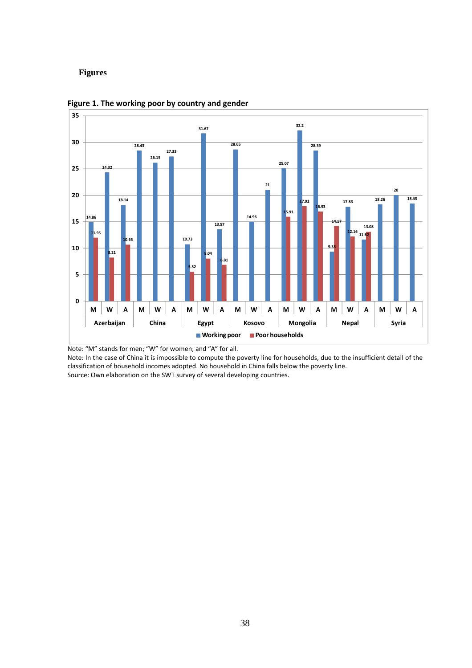## **Figures**





Note: "M" stands for men; "W" for women; and "A" for all.

Note: In the case of China it is impossible to compute the poverty line for households, due to the insufficient detail of the classification of household incomes adopted. No household in China falls below the poverty line. Source: Own elaboration on the SWT survey of several developing countries.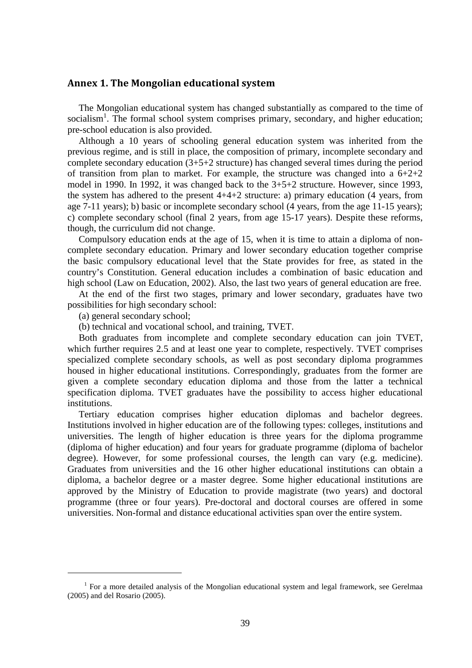## **Annex 1. The Mongolian educational system**

The Mongolian educational system has changed substantially as compared to the time of socialism<sup>1</sup>. The formal school system comprises primary, secondary, and higher education; pre-school education is also provided.

Although a 10 years of schooling general education system was inherited from the previous regime, and is still in place, the composition of primary, incomplete secondary and complete secondary education (3+5+2 structure) has changed several times during the period of transition from plan to market. For example, the structure was changed into a  $6+2+2$ model in 1990. In 1992, it was changed back to the 3+5+2 structure. However, since 1993, the system has adhered to the present  $4+4+2$  structure: a) primary education (4 years, from age 7-11 years); b) basic or incomplete secondary school (4 years, from the age 11-15 years); c) complete secondary school (final 2 years, from age 15-17 years). Despite these reforms, though, the curriculum did not change.

Compulsory education ends at the age of 15, when it is time to attain a diploma of noncomplete secondary education. Primary and lower secondary education together comprise the basic compulsory educational level that the State provides for free, as stated in the country's Constitution. General education includes a combination of basic education and high school (Law on Education, 2002). Also, the last two years of general education are free.

At the end of the first two stages, primary and lower secondary, graduates have two possibilities for high secondary school:

(a) general secondary school;

 $\overline{a}$ 

(b) technical and vocational school, and training, TVET.

Both graduates from incomplete and complete secondary education can join TVET, which further requires 2.5 and at least one year to complete, respectively. TVET comprises specialized complete secondary schools, as well as post secondary diploma programmes housed in higher educational institutions. Correspondingly, graduates from the former are given a complete secondary education diploma and those from the latter a technical specification diploma. TVET graduates have the possibility to access higher educational institutions.

Tertiary education comprises higher education diplomas and bachelor degrees. Institutions involved in higher education are of the following types: colleges, institutions and universities. The length of higher education is three years for the diploma programme (diploma of higher education) and four years for graduate programme (diploma of bachelor degree). However, for some professional courses, the length can vary (e.g. medicine). Graduates from universities and the 16 other higher educational institutions can obtain a diploma, a bachelor degree or a master degree. Some higher educational institutions are approved by the Ministry of Education to provide magistrate (two years) and doctoral programme (three or four years). Pre-doctoral and doctoral courses are offered in some universities. Non-formal and distance educational activities span over the entire system.

<sup>&</sup>lt;sup>1</sup> For a more detailed analysis of the Mongolian educational system and legal framework, see Gerelmaa (2005) and del Rosario (2005).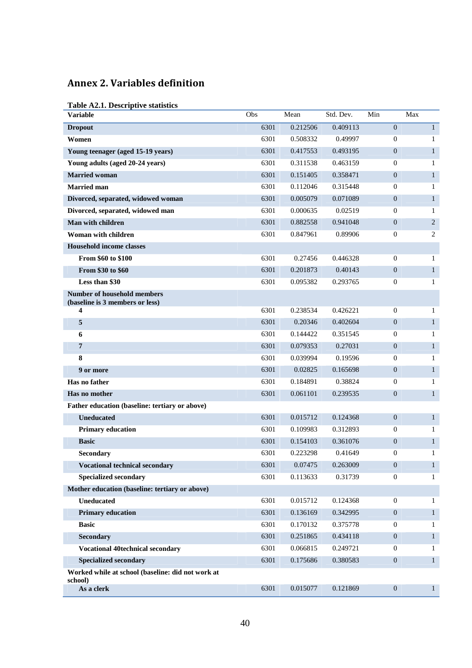## **Annex 2. Variables definition**

|  | Table A2.1. Descriptive statistics |  |
|--|------------------------------------|--|
|  |                                    |  |

| $\mathbf{0}$<br>6301<br>0.212506<br>0.409113<br>$\mathbf{1}$<br><b>Dropout</b><br>0.49997<br>Women<br>6301<br>0.508332<br>$\overline{0}$<br>1<br>0.417553<br>$\boldsymbol{0}$<br>Young teenager (aged 15-19 years)<br>6301<br>0.493195<br>$\mathbf{1}$<br>6301<br>0.311538<br>0.463159<br>$\overline{0}$<br>Young adults (aged 20-24 years)<br>1<br>$\boldsymbol{0}$<br><b>Married woman</b><br>6301<br>0.151405<br>0.358471<br>$\mathbf{1}$<br><b>Married</b> man<br>6301<br>0.112046<br>0.315448<br>$\mathbf{0}$<br>1<br>Divorced, separated, widowed woman<br>6301<br>0.005079<br>0.071089<br>$\mathbf{0}$<br>$\mathbf{1}$<br>Divorced, separated, widowed man<br>6301<br>0.000635<br>0.02519<br>$\overline{0}$<br>1<br>Man with children<br>$\boldsymbol{0}$<br>6301<br>0.882558<br>0.941048<br>2<br>0.89906<br>Woman with children<br>6301<br>0.847961<br>$\mathbf{0}$<br>2<br><b>Household income classes</b><br>From \$60 to \$100<br>6301<br>0.27456<br>0.446328<br>$\overline{0}$<br>1<br>From \$30 to \$60<br>6301<br>0.201873<br>0.40143<br>$\mathbf{0}$<br>$\mathbf{1}$<br>Less than \$30<br>6301<br>0.095382<br>0.293765<br>$\mathbf{0}$<br>1<br><b>Number of household members</b><br>(baseline is 3 members or less)<br>4<br>6301<br>0.238534<br>0.426221<br>$\mathbf{0}$<br>1<br>5<br>6301<br>0.20346<br>0.402604<br>$\mathbf{0}$<br>$\mathbf{1}$<br>6<br>6301<br>0.144422<br>0.351545<br>$\overline{0}$<br>1<br>$\overline{7}$<br>0.27031<br>$\boldsymbol{0}$<br>6301<br>0.079353<br>$\mathbf{1}$<br>8<br>6301<br>0.039994<br>0.19596<br>$\mathbf{0}$<br>1<br>9 or more<br>6301<br>0.02825<br>0.165698<br>$\mathbf{0}$<br>$\mathbf{1}$<br>Has no father<br>6301<br>0.184891<br>0.38824<br>$\mathbf{0}$<br>1<br>Has no mother<br>$\boldsymbol{0}$<br>6301<br>0.061101<br>0.239535<br>$\mathbf{1}$<br>Father education (baseline: tertiary or above)<br><b>Uneducated</b><br>6301<br>0.015712<br>0.124368<br>$\mathbf{0}$<br>$\mathbf{1}$<br><b>Primary education</b><br>6301<br>0.109983<br>0.312893<br>$\mathbf{0}$<br>1<br><b>Basic</b><br>6301<br>0.154103<br>0.361076<br>$\mathbf{0}$<br>$\mathbf{1}$<br>0.223298<br>0.41649<br>Secondary<br>6301<br>$\mathbf{0}$<br>1<br>6301<br>0.07475<br>0.263009<br><b>Vocational technical secondary</b><br>$\overline{0}$<br>1<br><b>Specialized secondary</b><br>0.113633<br>0.31739<br>6301<br>$\boldsymbol{0}$<br>1 | <b>Variable</b>                                | Obs | Mean | Std. Dev. | Min | Max |
|-----------------------------------------------------------------------------------------------------------------------------------------------------------------------------------------------------------------------------------------------------------------------------------------------------------------------------------------------------------------------------------------------------------------------------------------------------------------------------------------------------------------------------------------------------------------------------------------------------------------------------------------------------------------------------------------------------------------------------------------------------------------------------------------------------------------------------------------------------------------------------------------------------------------------------------------------------------------------------------------------------------------------------------------------------------------------------------------------------------------------------------------------------------------------------------------------------------------------------------------------------------------------------------------------------------------------------------------------------------------------------------------------------------------------------------------------------------------------------------------------------------------------------------------------------------------------------------------------------------------------------------------------------------------------------------------------------------------------------------------------------------------------------------------------------------------------------------------------------------------------------------------------------------------------------------------------------------------------------------------------------------------------------------------------------------------------------------------------------------------------------------------------------------------------------------------------------------------------------------------------------------------------------------------------------------------------------------------------------------------------------------|------------------------------------------------|-----|------|-----------|-----|-----|
|                                                                                                                                                                                                                                                                                                                                                                                                                                                                                                                                                                                                                                                                                                                                                                                                                                                                                                                                                                                                                                                                                                                                                                                                                                                                                                                                                                                                                                                                                                                                                                                                                                                                                                                                                                                                                                                                                                                                                                                                                                                                                                                                                                                                                                                                                                                                                                                   |                                                |     |      |           |     |     |
|                                                                                                                                                                                                                                                                                                                                                                                                                                                                                                                                                                                                                                                                                                                                                                                                                                                                                                                                                                                                                                                                                                                                                                                                                                                                                                                                                                                                                                                                                                                                                                                                                                                                                                                                                                                                                                                                                                                                                                                                                                                                                                                                                                                                                                                                                                                                                                                   |                                                |     |      |           |     |     |
|                                                                                                                                                                                                                                                                                                                                                                                                                                                                                                                                                                                                                                                                                                                                                                                                                                                                                                                                                                                                                                                                                                                                                                                                                                                                                                                                                                                                                                                                                                                                                                                                                                                                                                                                                                                                                                                                                                                                                                                                                                                                                                                                                                                                                                                                                                                                                                                   |                                                |     |      |           |     |     |
|                                                                                                                                                                                                                                                                                                                                                                                                                                                                                                                                                                                                                                                                                                                                                                                                                                                                                                                                                                                                                                                                                                                                                                                                                                                                                                                                                                                                                                                                                                                                                                                                                                                                                                                                                                                                                                                                                                                                                                                                                                                                                                                                                                                                                                                                                                                                                                                   |                                                |     |      |           |     |     |
|                                                                                                                                                                                                                                                                                                                                                                                                                                                                                                                                                                                                                                                                                                                                                                                                                                                                                                                                                                                                                                                                                                                                                                                                                                                                                                                                                                                                                                                                                                                                                                                                                                                                                                                                                                                                                                                                                                                                                                                                                                                                                                                                                                                                                                                                                                                                                                                   |                                                |     |      |           |     |     |
|                                                                                                                                                                                                                                                                                                                                                                                                                                                                                                                                                                                                                                                                                                                                                                                                                                                                                                                                                                                                                                                                                                                                                                                                                                                                                                                                                                                                                                                                                                                                                                                                                                                                                                                                                                                                                                                                                                                                                                                                                                                                                                                                                                                                                                                                                                                                                                                   |                                                |     |      |           |     |     |
|                                                                                                                                                                                                                                                                                                                                                                                                                                                                                                                                                                                                                                                                                                                                                                                                                                                                                                                                                                                                                                                                                                                                                                                                                                                                                                                                                                                                                                                                                                                                                                                                                                                                                                                                                                                                                                                                                                                                                                                                                                                                                                                                                                                                                                                                                                                                                                                   |                                                |     |      |           |     |     |
|                                                                                                                                                                                                                                                                                                                                                                                                                                                                                                                                                                                                                                                                                                                                                                                                                                                                                                                                                                                                                                                                                                                                                                                                                                                                                                                                                                                                                                                                                                                                                                                                                                                                                                                                                                                                                                                                                                                                                                                                                                                                                                                                                                                                                                                                                                                                                                                   |                                                |     |      |           |     |     |
|                                                                                                                                                                                                                                                                                                                                                                                                                                                                                                                                                                                                                                                                                                                                                                                                                                                                                                                                                                                                                                                                                                                                                                                                                                                                                                                                                                                                                                                                                                                                                                                                                                                                                                                                                                                                                                                                                                                                                                                                                                                                                                                                                                                                                                                                                                                                                                                   |                                                |     |      |           |     |     |
|                                                                                                                                                                                                                                                                                                                                                                                                                                                                                                                                                                                                                                                                                                                                                                                                                                                                                                                                                                                                                                                                                                                                                                                                                                                                                                                                                                                                                                                                                                                                                                                                                                                                                                                                                                                                                                                                                                                                                                                                                                                                                                                                                                                                                                                                                                                                                                                   |                                                |     |      |           |     |     |
|                                                                                                                                                                                                                                                                                                                                                                                                                                                                                                                                                                                                                                                                                                                                                                                                                                                                                                                                                                                                                                                                                                                                                                                                                                                                                                                                                                                                                                                                                                                                                                                                                                                                                                                                                                                                                                                                                                                                                                                                                                                                                                                                                                                                                                                                                                                                                                                   |                                                |     |      |           |     |     |
|                                                                                                                                                                                                                                                                                                                                                                                                                                                                                                                                                                                                                                                                                                                                                                                                                                                                                                                                                                                                                                                                                                                                                                                                                                                                                                                                                                                                                                                                                                                                                                                                                                                                                                                                                                                                                                                                                                                                                                                                                                                                                                                                                                                                                                                                                                                                                                                   |                                                |     |      |           |     |     |
|                                                                                                                                                                                                                                                                                                                                                                                                                                                                                                                                                                                                                                                                                                                                                                                                                                                                                                                                                                                                                                                                                                                                                                                                                                                                                                                                                                                                                                                                                                                                                                                                                                                                                                                                                                                                                                                                                                                                                                                                                                                                                                                                                                                                                                                                                                                                                                                   |                                                |     |      |           |     |     |
|                                                                                                                                                                                                                                                                                                                                                                                                                                                                                                                                                                                                                                                                                                                                                                                                                                                                                                                                                                                                                                                                                                                                                                                                                                                                                                                                                                                                                                                                                                                                                                                                                                                                                                                                                                                                                                                                                                                                                                                                                                                                                                                                                                                                                                                                                                                                                                                   |                                                |     |      |           |     |     |
|                                                                                                                                                                                                                                                                                                                                                                                                                                                                                                                                                                                                                                                                                                                                                                                                                                                                                                                                                                                                                                                                                                                                                                                                                                                                                                                                                                                                                                                                                                                                                                                                                                                                                                                                                                                                                                                                                                                                                                                                                                                                                                                                                                                                                                                                                                                                                                                   |                                                |     |      |           |     |     |
|                                                                                                                                                                                                                                                                                                                                                                                                                                                                                                                                                                                                                                                                                                                                                                                                                                                                                                                                                                                                                                                                                                                                                                                                                                                                                                                                                                                                                                                                                                                                                                                                                                                                                                                                                                                                                                                                                                                                                                                                                                                                                                                                                                                                                                                                                                                                                                                   |                                                |     |      |           |     |     |
|                                                                                                                                                                                                                                                                                                                                                                                                                                                                                                                                                                                                                                                                                                                                                                                                                                                                                                                                                                                                                                                                                                                                                                                                                                                                                                                                                                                                                                                                                                                                                                                                                                                                                                                                                                                                                                                                                                                                                                                                                                                                                                                                                                                                                                                                                                                                                                                   |                                                |     |      |           |     |     |
|                                                                                                                                                                                                                                                                                                                                                                                                                                                                                                                                                                                                                                                                                                                                                                                                                                                                                                                                                                                                                                                                                                                                                                                                                                                                                                                                                                                                                                                                                                                                                                                                                                                                                                                                                                                                                                                                                                                                                                                                                                                                                                                                                                                                                                                                                                                                                                                   |                                                |     |      |           |     |     |
|                                                                                                                                                                                                                                                                                                                                                                                                                                                                                                                                                                                                                                                                                                                                                                                                                                                                                                                                                                                                                                                                                                                                                                                                                                                                                                                                                                                                                                                                                                                                                                                                                                                                                                                                                                                                                                                                                                                                                                                                                                                                                                                                                                                                                                                                                                                                                                                   |                                                |     |      |           |     |     |
|                                                                                                                                                                                                                                                                                                                                                                                                                                                                                                                                                                                                                                                                                                                                                                                                                                                                                                                                                                                                                                                                                                                                                                                                                                                                                                                                                                                                                                                                                                                                                                                                                                                                                                                                                                                                                                                                                                                                                                                                                                                                                                                                                                                                                                                                                                                                                                                   |                                                |     |      |           |     |     |
|                                                                                                                                                                                                                                                                                                                                                                                                                                                                                                                                                                                                                                                                                                                                                                                                                                                                                                                                                                                                                                                                                                                                                                                                                                                                                                                                                                                                                                                                                                                                                                                                                                                                                                                                                                                                                                                                                                                                                                                                                                                                                                                                                                                                                                                                                                                                                                                   |                                                |     |      |           |     |     |
|                                                                                                                                                                                                                                                                                                                                                                                                                                                                                                                                                                                                                                                                                                                                                                                                                                                                                                                                                                                                                                                                                                                                                                                                                                                                                                                                                                                                                                                                                                                                                                                                                                                                                                                                                                                                                                                                                                                                                                                                                                                                                                                                                                                                                                                                                                                                                                                   |                                                |     |      |           |     |     |
|                                                                                                                                                                                                                                                                                                                                                                                                                                                                                                                                                                                                                                                                                                                                                                                                                                                                                                                                                                                                                                                                                                                                                                                                                                                                                                                                                                                                                                                                                                                                                                                                                                                                                                                                                                                                                                                                                                                                                                                                                                                                                                                                                                                                                                                                                                                                                                                   |                                                |     |      |           |     |     |
|                                                                                                                                                                                                                                                                                                                                                                                                                                                                                                                                                                                                                                                                                                                                                                                                                                                                                                                                                                                                                                                                                                                                                                                                                                                                                                                                                                                                                                                                                                                                                                                                                                                                                                                                                                                                                                                                                                                                                                                                                                                                                                                                                                                                                                                                                                                                                                                   |                                                |     |      |           |     |     |
|                                                                                                                                                                                                                                                                                                                                                                                                                                                                                                                                                                                                                                                                                                                                                                                                                                                                                                                                                                                                                                                                                                                                                                                                                                                                                                                                                                                                                                                                                                                                                                                                                                                                                                                                                                                                                                                                                                                                                                                                                                                                                                                                                                                                                                                                                                                                                                                   |                                                |     |      |           |     |     |
|                                                                                                                                                                                                                                                                                                                                                                                                                                                                                                                                                                                                                                                                                                                                                                                                                                                                                                                                                                                                                                                                                                                                                                                                                                                                                                                                                                                                                                                                                                                                                                                                                                                                                                                                                                                                                                                                                                                                                                                                                                                                                                                                                                                                                                                                                                                                                                                   |                                                |     |      |           |     |     |
|                                                                                                                                                                                                                                                                                                                                                                                                                                                                                                                                                                                                                                                                                                                                                                                                                                                                                                                                                                                                                                                                                                                                                                                                                                                                                                                                                                                                                                                                                                                                                                                                                                                                                                                                                                                                                                                                                                                                                                                                                                                                                                                                                                                                                                                                                                                                                                                   |                                                |     |      |           |     |     |
|                                                                                                                                                                                                                                                                                                                                                                                                                                                                                                                                                                                                                                                                                                                                                                                                                                                                                                                                                                                                                                                                                                                                                                                                                                                                                                                                                                                                                                                                                                                                                                                                                                                                                                                                                                                                                                                                                                                                                                                                                                                                                                                                                                                                                                                                                                                                                                                   |                                                |     |      |           |     |     |
|                                                                                                                                                                                                                                                                                                                                                                                                                                                                                                                                                                                                                                                                                                                                                                                                                                                                                                                                                                                                                                                                                                                                                                                                                                                                                                                                                                                                                                                                                                                                                                                                                                                                                                                                                                                                                                                                                                                                                                                                                                                                                                                                                                                                                                                                                                                                                                                   |                                                |     |      |           |     |     |
|                                                                                                                                                                                                                                                                                                                                                                                                                                                                                                                                                                                                                                                                                                                                                                                                                                                                                                                                                                                                                                                                                                                                                                                                                                                                                                                                                                                                                                                                                                                                                                                                                                                                                                                                                                                                                                                                                                                                                                                                                                                                                                                                                                                                                                                                                                                                                                                   |                                                |     |      |           |     |     |
|                                                                                                                                                                                                                                                                                                                                                                                                                                                                                                                                                                                                                                                                                                                                                                                                                                                                                                                                                                                                                                                                                                                                                                                                                                                                                                                                                                                                                                                                                                                                                                                                                                                                                                                                                                                                                                                                                                                                                                                                                                                                                                                                                                                                                                                                                                                                                                                   | Mother education (baseline: tertiary or above) |     |      |           |     |     |
| <b>Uneducated</b><br>6301<br>0.015712<br>0.124368<br>$\mathbf{0}$<br>1                                                                                                                                                                                                                                                                                                                                                                                                                                                                                                                                                                                                                                                                                                                                                                                                                                                                                                                                                                                                                                                                                                                                                                                                                                                                                                                                                                                                                                                                                                                                                                                                                                                                                                                                                                                                                                                                                                                                                                                                                                                                                                                                                                                                                                                                                                            |                                                |     |      |           |     |     |
| <b>Primary education</b><br>0.136169<br>6301<br>0.342995<br>$\mathbf{0}$<br>$\mathbf{1}$                                                                                                                                                                                                                                                                                                                                                                                                                                                                                                                                                                                                                                                                                                                                                                                                                                                                                                                                                                                                                                                                                                                                                                                                                                                                                                                                                                                                                                                                                                                                                                                                                                                                                                                                                                                                                                                                                                                                                                                                                                                                                                                                                                                                                                                                                          |                                                |     |      |           |     |     |
| <b>Basic</b><br>6301<br>0.170132<br>0.375778<br>$\boldsymbol{0}$<br>1                                                                                                                                                                                                                                                                                                                                                                                                                                                                                                                                                                                                                                                                                                                                                                                                                                                                                                                                                                                                                                                                                                                                                                                                                                                                                                                                                                                                                                                                                                                                                                                                                                                                                                                                                                                                                                                                                                                                                                                                                                                                                                                                                                                                                                                                                                             |                                                |     |      |           |     |     |
| Secondary<br>6301<br>0.251865<br>0.434118<br>$\mathbf{0}$<br>$\mathbf{1}$                                                                                                                                                                                                                                                                                                                                                                                                                                                                                                                                                                                                                                                                                                                                                                                                                                                                                                                                                                                                                                                                                                                                                                                                                                                                                                                                                                                                                                                                                                                                                                                                                                                                                                                                                                                                                                                                                                                                                                                                                                                                                                                                                                                                                                                                                                         |                                                |     |      |           |     |     |
| <b>Vocational 40technical secondary</b><br>6301<br>0.066815<br>0.249721<br>$\boldsymbol{0}$<br>1                                                                                                                                                                                                                                                                                                                                                                                                                                                                                                                                                                                                                                                                                                                                                                                                                                                                                                                                                                                                                                                                                                                                                                                                                                                                                                                                                                                                                                                                                                                                                                                                                                                                                                                                                                                                                                                                                                                                                                                                                                                                                                                                                                                                                                                                                  |                                                |     |      |           |     |     |
| <b>Specialized secondary</b><br>$\boldsymbol{0}$<br>6301<br>0.175686<br>0.380583<br>$\mathbf{1}$                                                                                                                                                                                                                                                                                                                                                                                                                                                                                                                                                                                                                                                                                                                                                                                                                                                                                                                                                                                                                                                                                                                                                                                                                                                                                                                                                                                                                                                                                                                                                                                                                                                                                                                                                                                                                                                                                                                                                                                                                                                                                                                                                                                                                                                                                  |                                                |     |      |           |     |     |
| Worked while at school (baseline: did not work at                                                                                                                                                                                                                                                                                                                                                                                                                                                                                                                                                                                                                                                                                                                                                                                                                                                                                                                                                                                                                                                                                                                                                                                                                                                                                                                                                                                                                                                                                                                                                                                                                                                                                                                                                                                                                                                                                                                                                                                                                                                                                                                                                                                                                                                                                                                                 |                                                |     |      |           |     |     |
| school)<br>As a clerk<br>6301<br>0.015077<br>0.121869<br>$\boldsymbol{0}$<br>$\mathbf{1}$                                                                                                                                                                                                                                                                                                                                                                                                                                                                                                                                                                                                                                                                                                                                                                                                                                                                                                                                                                                                                                                                                                                                                                                                                                                                                                                                                                                                                                                                                                                                                                                                                                                                                                                                                                                                                                                                                                                                                                                                                                                                                                                                                                                                                                                                                         |                                                |     |      |           |     |     |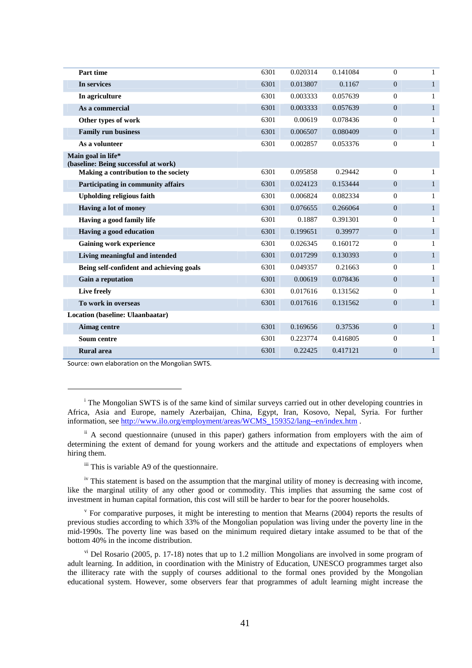| 6301 | 0.020314 | 0.141084 | $\mathbf{0}$     | $\mathbf{1}$ |
|------|----------|----------|------------------|--------------|
| 6301 | 0.013807 | 0.1167   | $\overline{0}$   | $\mathbf{1}$ |
| 6301 | 0.003333 | 0.057639 | $\mathbf{0}$     | 1            |
| 6301 | 0.003333 | 0.057639 | $\overline{0}$   | $\mathbf{1}$ |
| 6301 | 0.00619  | 0.078436 | $\boldsymbol{0}$ | 1            |
| 6301 | 0.006507 | 0.080409 | $\overline{0}$   | $\mathbf{1}$ |
| 6301 | 0.002857 | 0.053376 | $\mathbf{0}$     | $\mathbf{1}$ |
|      |          |          |                  |              |
| 6301 | 0.095858 | 0.29442  | $\mathbf{0}$     | 1            |
| 6301 | 0.024123 | 0.153444 | $\mathbf{0}$     | $\mathbf{1}$ |
| 6301 | 0.006824 | 0.082334 | $\mathbf{0}$     | 1            |
| 6301 | 0.076655 | 0.266064 | $\mathbf{0}$     | $\mathbf{1}$ |
| 6301 | 0.1887   | 0.391301 | $\mathbf{0}$     | 1            |
| 6301 | 0.199651 | 0.39977  | $\mathbf{0}$     | $\mathbf{1}$ |
| 6301 | 0.026345 | 0.160172 | $\mathbf{0}$     | 1            |
| 6301 | 0.017299 | 0.130393 | $\mathbf{0}$     | $\mathbf{1}$ |
| 6301 | 0.049357 | 0.21663  | $\mathbf{0}$     | 1            |
| 6301 | 0.00619  | 0.078436 | $\overline{0}$   | $\mathbf{1}$ |
| 6301 | 0.017616 | 0.131562 | $\mathbf{0}$     | 1            |
| 6301 | 0.017616 | 0.131562 | $\overline{0}$   | $\mathbf{1}$ |
|      |          |          |                  |              |
| 6301 | 0.169656 | 0.37536  | $\overline{0}$   | $\mathbf{1}$ |
| 6301 | 0.223774 | 0.416805 | $\mathbf{0}$     | 1            |
| 6301 | 0.22425  | 0.417121 | $\overline{0}$   | 1            |
|      |          |          |                  |              |

Source: own elaboration on the Mongolian SWTS.

 $\overline{a}$ 

 $\mu$ <sup>iv</sup> This statement is based on the assumption that the marginal utility of money is decreasing with income, like the marginal utility of any other good or commodity. This implies that assuming the same cost of investment in human capital formation, this cost will still be harder to bear for the poorer households.

<sup>v</sup> For comparative purposes, it might be interesting to mention that Mearns (2004) reports the results of previous studies according to which 33% of the Mongolian population was living under the poverty line in the mid-1990s. The poverty line was based on the minimum required dietary intake assumed to be that of the bottom 40% in the income distribution.

 $v<sup>i</sup>$  Del Rosario (2005, p. 17-18) notes that up to 1.2 million Mongolians are involved in some program of adult learning. In addition, in coordination with the Ministry of Education, UNESCO programmes target also the illiteracy rate with the supply of courses additional to the formal ones provided by the Mongolian educational system. However, some observers fear that programmes of adult learning might increase the

<sup>&</sup>lt;sup>i</sup> The Mongolian SWTS is of the same kind of similar surveys carried out in other developing countries in Africa, Asia and Europe, namely Azerbaijan, China, Egypt, Iran, Kosovo, Nepal, Syria. For further information, see http://www.ilo.org/employment/areas/WCMS\_159352/lang--en/index.htm .

<sup>&</sup>lt;sup>ii</sup> A second questionnaire (unused in this paper) gathers information from employers with the aim of determining the extent of demand for young workers and the attitude and expectations of employers when hiring them.

iii This is variable A9 of the questionnaire.